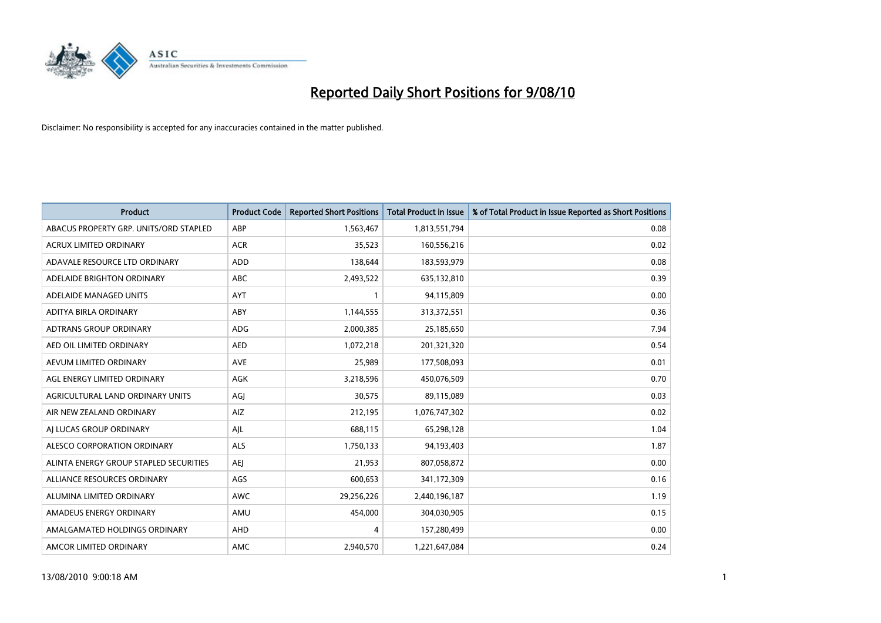

| <b>Product</b>                         | <b>Product Code</b> | <b>Reported Short Positions</b> | <b>Total Product in Issue</b> | % of Total Product in Issue Reported as Short Positions |
|----------------------------------------|---------------------|---------------------------------|-------------------------------|---------------------------------------------------------|
| ABACUS PROPERTY GRP. UNITS/ORD STAPLED | ABP                 | 1,563,467                       | 1,813,551,794                 | 0.08                                                    |
| ACRUX LIMITED ORDINARY                 | <b>ACR</b>          | 35,523                          | 160,556,216                   | 0.02                                                    |
| ADAVALE RESOURCE LTD ORDINARY          | <b>ADD</b>          | 138,644                         | 183,593,979                   | 0.08                                                    |
| ADELAIDE BRIGHTON ORDINARY             | ABC                 | 2,493,522                       | 635,132,810                   | 0.39                                                    |
| ADELAIDE MANAGED UNITS                 | AYT                 |                                 | 94,115,809                    | 0.00                                                    |
| ADITYA BIRLA ORDINARY                  | ABY                 | 1,144,555                       | 313,372,551                   | 0.36                                                    |
| <b>ADTRANS GROUP ORDINARY</b>          | <b>ADG</b>          | 2,000,385                       | 25,185,650                    | 7.94                                                    |
| AED OIL LIMITED ORDINARY               | <b>AED</b>          | 1,072,218                       | 201,321,320                   | 0.54                                                    |
| AEVUM LIMITED ORDINARY                 | <b>AVE</b>          | 25,989                          | 177,508,093                   | 0.01                                                    |
| AGL ENERGY LIMITED ORDINARY            | <b>AGK</b>          | 3,218,596                       | 450,076,509                   | 0.70                                                    |
| AGRICULTURAL LAND ORDINARY UNITS       | AGJ                 | 30,575                          | 89,115,089                    | 0.03                                                    |
| AIR NEW ZEALAND ORDINARY               | AIZ                 | 212,195                         | 1,076,747,302                 | 0.02                                                    |
| AI LUCAS GROUP ORDINARY                | AJL                 | 688,115                         | 65,298,128                    | 1.04                                                    |
| ALESCO CORPORATION ORDINARY            | <b>ALS</b>          | 1,750,133                       | 94,193,403                    | 1.87                                                    |
| ALINTA ENERGY GROUP STAPLED SECURITIES | <b>AEI</b>          | 21,953                          | 807,058,872                   | 0.00                                                    |
| ALLIANCE RESOURCES ORDINARY            | AGS                 | 600,653                         | 341,172,309                   | 0.16                                                    |
| ALUMINA LIMITED ORDINARY               | <b>AWC</b>          | 29,256,226                      | 2,440,196,187                 | 1.19                                                    |
| AMADEUS ENERGY ORDINARY                | AMU                 | 454,000                         | 304,030,905                   | 0.15                                                    |
| AMALGAMATED HOLDINGS ORDINARY          | AHD                 | 4                               | 157,280,499                   | 0.00                                                    |
| AMCOR LIMITED ORDINARY                 | <b>AMC</b>          | 2,940,570                       | 1,221,647,084                 | 0.24                                                    |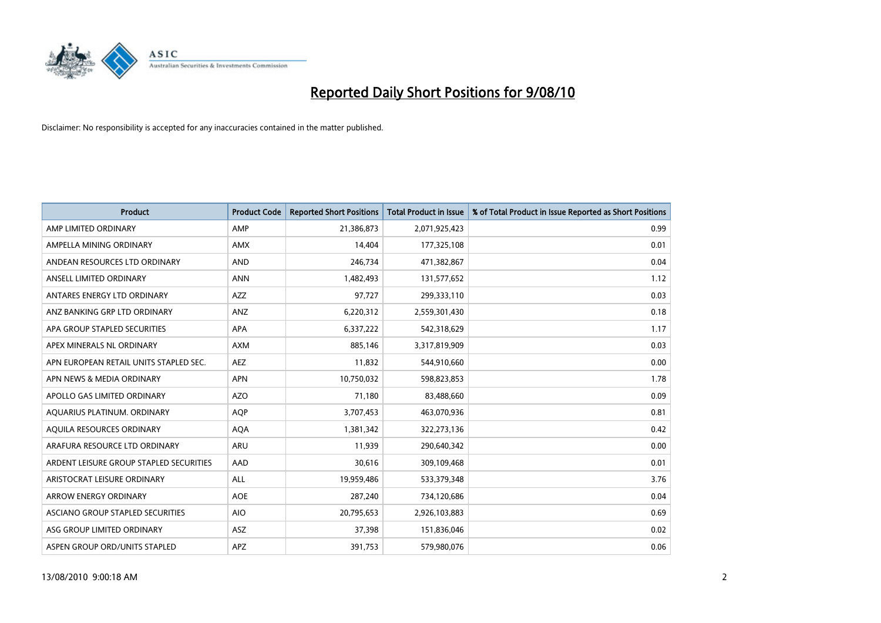

| <b>Product</b>                          | <b>Product Code</b> | <b>Reported Short Positions</b> | Total Product in Issue | % of Total Product in Issue Reported as Short Positions |
|-----------------------------------------|---------------------|---------------------------------|------------------------|---------------------------------------------------------|
| AMP LIMITED ORDINARY                    | AMP                 | 21,386,873                      | 2,071,925,423          | 0.99                                                    |
| AMPELLA MINING ORDINARY                 | <b>AMX</b>          | 14.404                          | 177,325,108            | 0.01                                                    |
| ANDEAN RESOURCES LTD ORDINARY           | <b>AND</b>          | 246,734                         | 471,382,867            | 0.04                                                    |
| ANSELL LIMITED ORDINARY                 | <b>ANN</b>          | 1,482,493                       | 131,577,652            | 1.12                                                    |
| ANTARES ENERGY LTD ORDINARY             | <b>AZZ</b>          | 97,727                          | 299,333,110            | 0.03                                                    |
| ANZ BANKING GRP LTD ORDINARY            | ANZ                 | 6,220,312                       | 2,559,301,430          | 0.18                                                    |
| APA GROUP STAPLED SECURITIES            | <b>APA</b>          | 6,337,222                       | 542,318,629            | 1.17                                                    |
| APEX MINERALS NL ORDINARY               | <b>AXM</b>          | 885,146                         | 3,317,819,909          | 0.03                                                    |
| APN EUROPEAN RETAIL UNITS STAPLED SEC.  | <b>AEZ</b>          | 11,832                          | 544,910,660            | 0.00                                                    |
| APN NEWS & MEDIA ORDINARY               | <b>APN</b>          | 10,750,032                      | 598,823,853            | 1.78                                                    |
| APOLLO GAS LIMITED ORDINARY             | <b>AZO</b>          | 71,180                          | 83,488,660             | 0.09                                                    |
| AQUARIUS PLATINUM. ORDINARY             | <b>AOP</b>          | 3,707,453                       | 463,070,936            | 0.81                                                    |
| AQUILA RESOURCES ORDINARY               | <b>AQA</b>          | 1.381.342                       | 322,273,136            | 0.42                                                    |
| ARAFURA RESOURCE LTD ORDINARY           | <b>ARU</b>          | 11.939                          | 290,640,342            | 0.00                                                    |
| ARDENT LEISURE GROUP STAPLED SECURITIES | AAD                 | 30,616                          | 309,109,468            | 0.01                                                    |
| ARISTOCRAT LEISURE ORDINARY             | <b>ALL</b>          | 19,959,486                      | 533,379,348            | 3.76                                                    |
| <b>ARROW ENERGY ORDINARY</b>            | <b>AOE</b>          | 287,240                         | 734,120,686            | 0.04                                                    |
| ASCIANO GROUP STAPLED SECURITIES        | <b>AIO</b>          | 20,795,653                      | 2,926,103,883          | 0.69                                                    |
| ASG GROUP LIMITED ORDINARY              | <b>ASZ</b>          | 37,398                          | 151,836,046            | 0.02                                                    |
| ASPEN GROUP ORD/UNITS STAPLED           | <b>APZ</b>          | 391,753                         | 579,980,076            | 0.06                                                    |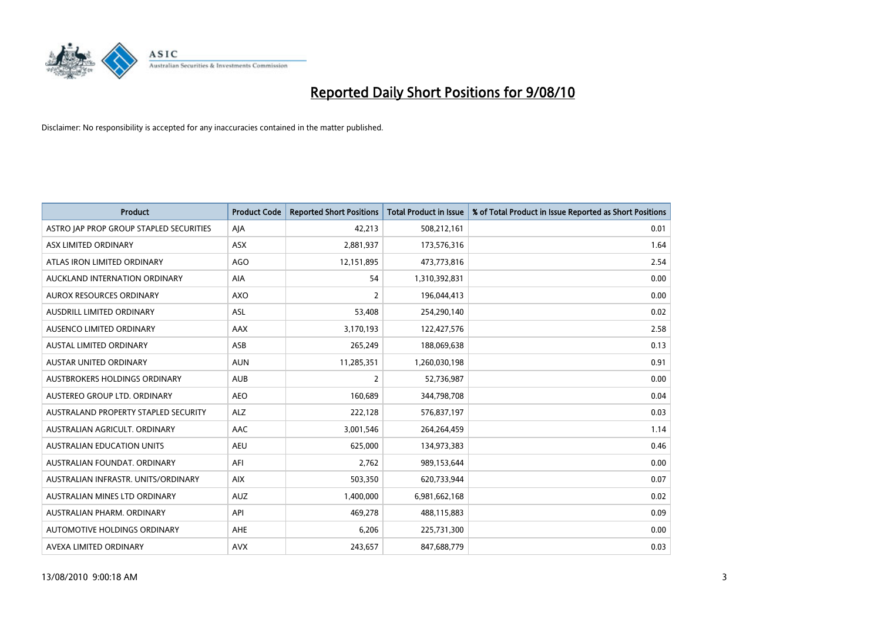

| <b>Product</b>                          | <b>Product Code</b> | <b>Reported Short Positions</b> | <b>Total Product in Issue</b> | % of Total Product in Issue Reported as Short Positions |
|-----------------------------------------|---------------------|---------------------------------|-------------------------------|---------------------------------------------------------|
| ASTRO JAP PROP GROUP STAPLED SECURITIES | AJA                 | 42,213                          | 508,212,161                   | 0.01                                                    |
| ASX LIMITED ORDINARY                    | <b>ASX</b>          | 2,881,937                       | 173,576,316                   | 1.64                                                    |
| ATLAS IRON LIMITED ORDINARY             | <b>AGO</b>          | 12,151,895                      | 473,773,816                   | 2.54                                                    |
| AUCKLAND INTERNATION ORDINARY           | AIA                 | 54                              | 1,310,392,831                 | 0.00                                                    |
| <b>AUROX RESOURCES ORDINARY</b>         | AXO                 | $\overline{2}$                  | 196,044,413                   | 0.00                                                    |
| <b>AUSDRILL LIMITED ORDINARY</b>        | <b>ASL</b>          | 53,408                          | 254,290,140                   | 0.02                                                    |
| AUSENCO LIMITED ORDINARY                | <b>AAX</b>          | 3,170,193                       | 122,427,576                   | 2.58                                                    |
| AUSTAL LIMITED ORDINARY                 | ASB                 | 265,249                         | 188,069,638                   | 0.13                                                    |
| <b>AUSTAR UNITED ORDINARY</b>           | <b>AUN</b>          | 11,285,351                      | 1,260,030,198                 | 0.91                                                    |
| <b>AUSTBROKERS HOLDINGS ORDINARY</b>    | <b>AUB</b>          | $\overline{2}$                  | 52,736,987                    | 0.00                                                    |
| AUSTEREO GROUP LTD. ORDINARY            | <b>AEO</b>          | 160,689                         | 344,798,708                   | 0.04                                                    |
| AUSTRALAND PROPERTY STAPLED SECURITY    | <b>ALZ</b>          | 222,128                         | 576,837,197                   | 0.03                                                    |
| AUSTRALIAN AGRICULT. ORDINARY           | AAC                 | 3,001,546                       | 264,264,459                   | 1.14                                                    |
| AUSTRALIAN EDUCATION UNITS              | <b>AEU</b>          | 625,000                         | 134,973,383                   | 0.46                                                    |
| AUSTRALIAN FOUNDAT, ORDINARY            | AFI                 | 2,762                           | 989,153,644                   | 0.00                                                    |
| AUSTRALIAN INFRASTR, UNITS/ORDINARY     | <b>AIX</b>          | 503,350                         | 620,733,944                   | 0.07                                                    |
| AUSTRALIAN MINES LTD ORDINARY           | <b>AUZ</b>          | 1,400,000                       | 6,981,662,168                 | 0.02                                                    |
| AUSTRALIAN PHARM. ORDINARY              | API                 | 469,278                         | 488,115,883                   | 0.09                                                    |
| AUTOMOTIVE HOLDINGS ORDINARY            | AHE                 | 6,206                           | 225,731,300                   | 0.00                                                    |
| AVEXA LIMITED ORDINARY                  | <b>AVX</b>          | 243,657                         | 847,688,779                   | 0.03                                                    |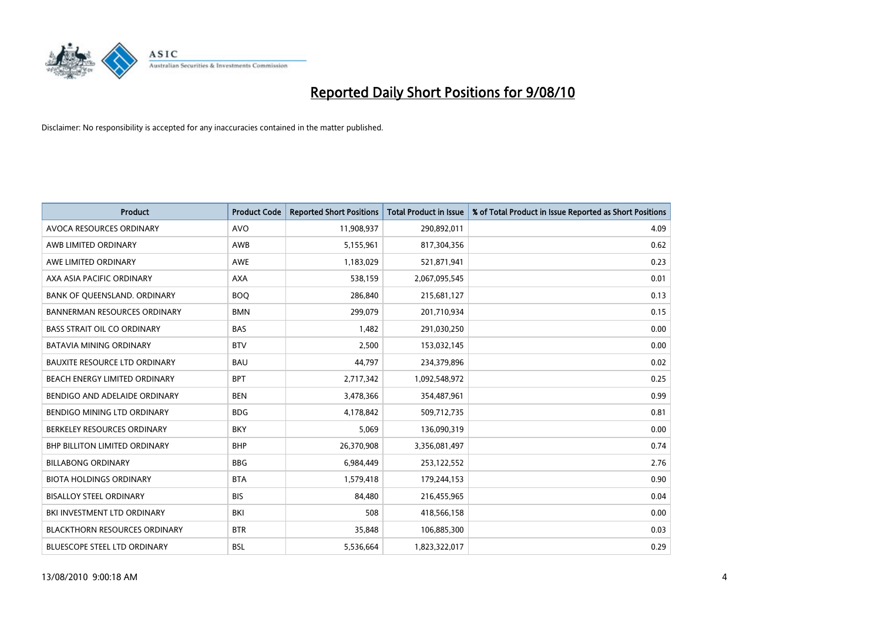

| <b>Product</b>                       | <b>Product Code</b> | <b>Reported Short Positions</b> | <b>Total Product in Issue</b> | % of Total Product in Issue Reported as Short Positions |
|--------------------------------------|---------------------|---------------------------------|-------------------------------|---------------------------------------------------------|
| AVOCA RESOURCES ORDINARY             | <b>AVO</b>          | 11,908,937                      | 290,892,011                   | 4.09                                                    |
| AWB LIMITED ORDINARY                 | AWB                 | 5,155,961                       | 817,304,356                   | 0.62                                                    |
| AWE LIMITED ORDINARY                 | AWE                 | 1,183,029                       | 521,871,941                   | 0.23                                                    |
| AXA ASIA PACIFIC ORDINARY            | <b>AXA</b>          | 538,159                         | 2,067,095,545                 | 0.01                                                    |
| BANK OF QUEENSLAND. ORDINARY         | <b>BOQ</b>          | 286,840                         | 215,681,127                   | 0.13                                                    |
| <b>BANNERMAN RESOURCES ORDINARY</b>  | <b>BMN</b>          | 299,079                         | 201,710,934                   | 0.15                                                    |
| <b>BASS STRAIT OIL CO ORDINARY</b>   | <b>BAS</b>          | 1,482                           | 291,030,250                   | 0.00                                                    |
| <b>BATAVIA MINING ORDINARY</b>       | <b>BTV</b>          | 2,500                           | 153,032,145                   | 0.00                                                    |
| BAUXITE RESOURCE LTD ORDINARY        | <b>BAU</b>          | 44,797                          | 234,379,896                   | 0.02                                                    |
| BEACH ENERGY LIMITED ORDINARY        | <b>BPT</b>          | 2,717,342                       | 1,092,548,972                 | 0.25                                                    |
| BENDIGO AND ADELAIDE ORDINARY        | <b>BEN</b>          | 3,478,366                       | 354,487,961                   | 0.99                                                    |
| BENDIGO MINING LTD ORDINARY          | <b>BDG</b>          | 4,178,842                       | 509,712,735                   | 0.81                                                    |
| BERKELEY RESOURCES ORDINARY          | <b>BKY</b>          | 5,069                           | 136,090,319                   | 0.00                                                    |
| <b>BHP BILLITON LIMITED ORDINARY</b> | <b>BHP</b>          | 26,370,908                      | 3,356,081,497                 | 0.74                                                    |
| <b>BILLABONG ORDINARY</b>            | <b>BBG</b>          | 6,984,449                       | 253,122,552                   | 2.76                                                    |
| <b>BIOTA HOLDINGS ORDINARY</b>       | <b>BTA</b>          | 1,579,418                       | 179,244,153                   | 0.90                                                    |
| <b>BISALLOY STEEL ORDINARY</b>       | <b>BIS</b>          | 84,480                          | 216,455,965                   | 0.04                                                    |
| <b>BKI INVESTMENT LTD ORDINARY</b>   | BKI                 | 508                             | 418,566,158                   | 0.00                                                    |
| <b>BLACKTHORN RESOURCES ORDINARY</b> | <b>BTR</b>          | 35,848                          | 106,885,300                   | 0.03                                                    |
| <b>BLUESCOPE STEEL LTD ORDINARY</b>  | <b>BSL</b>          | 5,536,664                       | 1,823,322,017                 | 0.29                                                    |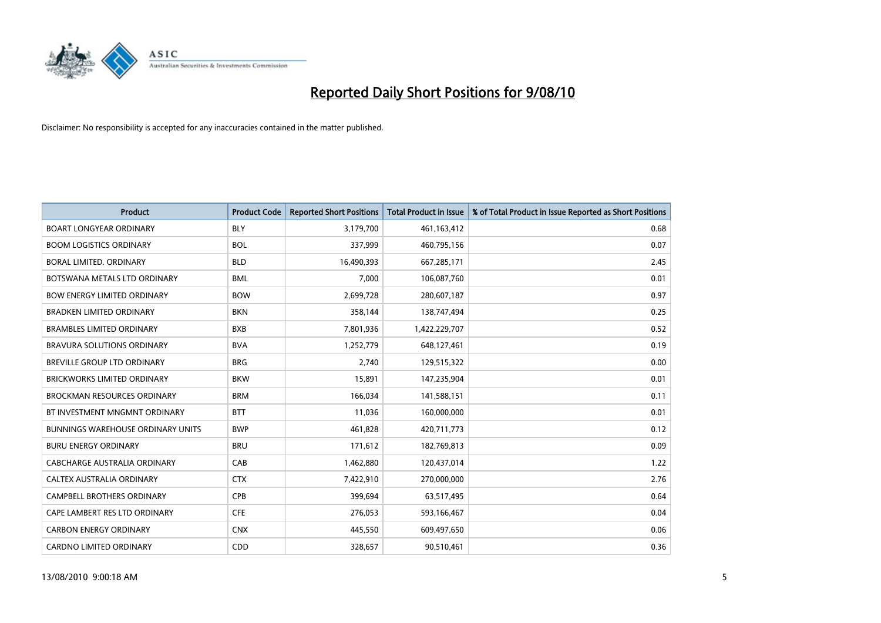

| <b>Product</b>                           | <b>Product Code</b> | <b>Reported Short Positions</b> | <b>Total Product in Issue</b> | % of Total Product in Issue Reported as Short Positions |
|------------------------------------------|---------------------|---------------------------------|-------------------------------|---------------------------------------------------------|
| <b>BOART LONGYEAR ORDINARY</b>           | <b>BLY</b>          | 3,179,700                       | 461,163,412                   | 0.68                                                    |
| <b>BOOM LOGISTICS ORDINARY</b>           | <b>BOL</b>          | 337,999                         | 460,795,156                   | 0.07                                                    |
| BORAL LIMITED, ORDINARY                  | <b>BLD</b>          | 16,490,393                      | 667,285,171                   | 2.45                                                    |
| BOTSWANA METALS LTD ORDINARY             | <b>BML</b>          | 7,000                           | 106,087,760                   | 0.01                                                    |
| <b>BOW ENERGY LIMITED ORDINARY</b>       | <b>BOW</b>          | 2,699,728                       | 280,607,187                   | 0.97                                                    |
| <b>BRADKEN LIMITED ORDINARY</b>          | <b>BKN</b>          | 358,144                         | 138,747,494                   | 0.25                                                    |
| <b>BRAMBLES LIMITED ORDINARY</b>         | <b>BXB</b>          | 7,801,936                       | 1,422,229,707                 | 0.52                                                    |
| BRAVURA SOLUTIONS ORDINARY               | <b>BVA</b>          | 1,252,779                       | 648,127,461                   | 0.19                                                    |
| BREVILLE GROUP LTD ORDINARY              | <b>BRG</b>          | 2,740                           | 129,515,322                   | 0.00                                                    |
| <b>BRICKWORKS LIMITED ORDINARY</b>       | <b>BKW</b>          | 15,891                          | 147,235,904                   | 0.01                                                    |
| <b>BROCKMAN RESOURCES ORDINARY</b>       | <b>BRM</b>          | 166,034                         | 141,588,151                   | 0.11                                                    |
| BT INVESTMENT MNGMNT ORDINARY            | <b>BTT</b>          | 11,036                          | 160,000,000                   | 0.01                                                    |
| <b>BUNNINGS WAREHOUSE ORDINARY UNITS</b> | <b>BWP</b>          | 461,828                         | 420,711,773                   | 0.12                                                    |
| <b>BURU ENERGY ORDINARY</b>              | <b>BRU</b>          | 171,612                         | 182,769,813                   | 0.09                                                    |
| <b>CABCHARGE AUSTRALIA ORDINARY</b>      | CAB                 | 1,462,880                       | 120,437,014                   | 1.22                                                    |
| CALTEX AUSTRALIA ORDINARY                | <b>CTX</b>          | 7,422,910                       | 270,000,000                   | 2.76                                                    |
| CAMPBELL BROTHERS ORDINARY               | <b>CPB</b>          | 399,694                         | 63,517,495                    | 0.64                                                    |
| CAPE LAMBERT RES LTD ORDINARY            | <b>CFE</b>          | 276,053                         | 593,166,467                   | 0.04                                                    |
| <b>CARBON ENERGY ORDINARY</b>            | <b>CNX</b>          | 445,550                         | 609,497,650                   | 0.06                                                    |
| CARDNO LIMITED ORDINARY                  | CDD                 | 328,657                         | 90,510,461                    | 0.36                                                    |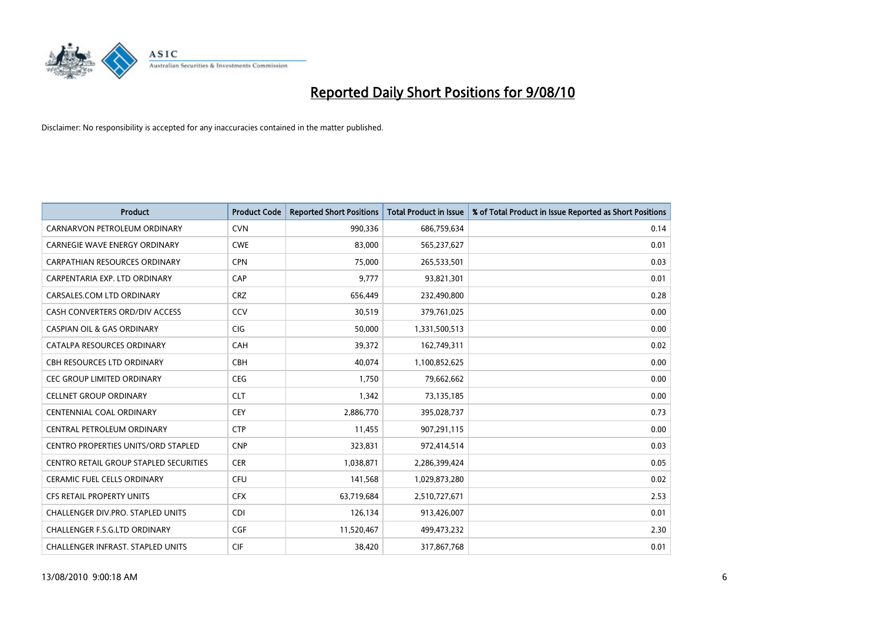

| <b>Product</b>                                | <b>Product Code</b> | <b>Reported Short Positions</b> | <b>Total Product in Issue</b> | % of Total Product in Issue Reported as Short Positions |
|-----------------------------------------------|---------------------|---------------------------------|-------------------------------|---------------------------------------------------------|
| CARNARVON PETROLEUM ORDINARY                  | <b>CVN</b>          | 990,336                         | 686,759,634                   | 0.14                                                    |
| <b>CARNEGIE WAVE ENERGY ORDINARY</b>          | <b>CWE</b>          | 83,000                          | 565,237,627                   | 0.01                                                    |
| CARPATHIAN RESOURCES ORDINARY                 | <b>CPN</b>          | 75,000                          | 265,533,501                   | 0.03                                                    |
| CARPENTARIA EXP. LTD ORDINARY                 | CAP                 | 9,777                           | 93,821,301                    | 0.01                                                    |
| CARSALES.COM LTD ORDINARY                     | <b>CRZ</b>          | 656,449                         | 232,490,800                   | 0.28                                                    |
| CASH CONVERTERS ORD/DIV ACCESS                | CCV                 | 30,519                          | 379,761,025                   | 0.00                                                    |
| <b>CASPIAN OIL &amp; GAS ORDINARY</b>         | <b>CIG</b>          | 50,000                          | 1,331,500,513                 | 0.00                                                    |
| CATALPA RESOURCES ORDINARY                    | CAH                 | 39,372                          | 162,749,311                   | 0.02                                                    |
| CBH RESOURCES LTD ORDINARY                    | <b>CBH</b>          | 40,074                          | 1,100,852,625                 | 0.00                                                    |
| <b>CEC GROUP LIMITED ORDINARY</b>             | CEG                 | 1,750                           | 79,662,662                    | 0.00                                                    |
| <b>CELLNET GROUP ORDINARY</b>                 | <b>CLT</b>          | 1.342                           | 73,135,185                    | 0.00                                                    |
| <b>CENTENNIAL COAL ORDINARY</b>               | <b>CEY</b>          | 2,886,770                       | 395,028,737                   | 0.73                                                    |
| CENTRAL PETROLEUM ORDINARY                    | <b>CTP</b>          | 11,455                          | 907,291,115                   | 0.00                                                    |
| <b>CENTRO PROPERTIES UNITS/ORD STAPLED</b>    | <b>CNP</b>          | 323,831                         | 972,414,514                   | 0.03                                                    |
| <b>CENTRO RETAIL GROUP STAPLED SECURITIES</b> | <b>CER</b>          | 1,038,871                       | 2,286,399,424                 | 0.05                                                    |
| <b>CERAMIC FUEL CELLS ORDINARY</b>            | <b>CFU</b>          | 141,568                         | 1,029,873,280                 | 0.02                                                    |
| CFS RETAIL PROPERTY UNITS                     | <b>CFX</b>          | 63,719,684                      | 2,510,727,671                 | 2.53                                                    |
| CHALLENGER DIV.PRO. STAPLED UNITS             | <b>CDI</b>          | 126,134                         | 913,426,007                   | 0.01                                                    |
| CHALLENGER F.S.G.LTD ORDINARY                 | <b>CGF</b>          | 11,520,467                      | 499,473,232                   | 2.30                                                    |
| CHALLENGER INFRAST. STAPLED UNITS             | <b>CIF</b>          | 38,420                          | 317,867,768                   | 0.01                                                    |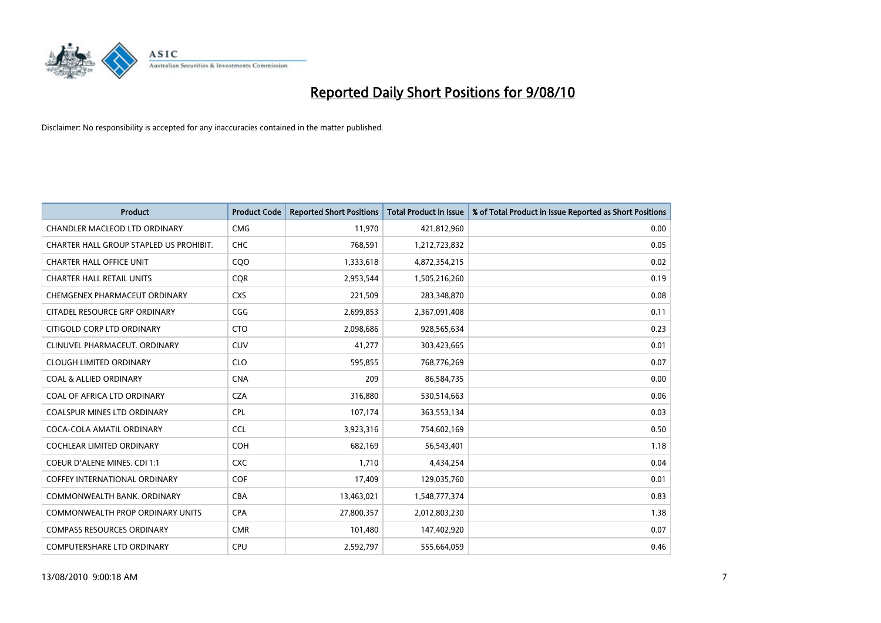

| <b>Product</b>                          | <b>Product Code</b> | <b>Reported Short Positions</b> | <b>Total Product in Issue</b> | % of Total Product in Issue Reported as Short Positions |
|-----------------------------------------|---------------------|---------------------------------|-------------------------------|---------------------------------------------------------|
| <b>CHANDLER MACLEOD LTD ORDINARY</b>    | <b>CMG</b>          | 11,970                          | 421,812,960                   | 0.00                                                    |
| CHARTER HALL GROUP STAPLED US PROHIBIT. | CHC                 | 768,591                         | 1,212,723,832                 | 0.05                                                    |
| <b>CHARTER HALL OFFICE UNIT</b>         | <b>COO</b>          | 1,333,618                       | 4,872,354,215                 | 0.02                                                    |
| <b>CHARTER HALL RETAIL UNITS</b>        | <b>COR</b>          | 2,953,544                       | 1,505,216,260                 | 0.19                                                    |
| CHEMGENEX PHARMACEUT ORDINARY           | <b>CXS</b>          | 221,509                         | 283,348,870                   | 0.08                                                    |
| CITADEL RESOURCE GRP ORDINARY           | CGG                 | 2,699,853                       | 2,367,091,408                 | 0.11                                                    |
| CITIGOLD CORP LTD ORDINARY              | <b>CTO</b>          | 2,098,686                       | 928,565,634                   | 0.23                                                    |
| CLINUVEL PHARMACEUT. ORDINARY           | <b>CUV</b>          | 41,277                          | 303,423,665                   | 0.01                                                    |
| <b>CLOUGH LIMITED ORDINARY</b>          | <b>CLO</b>          | 595,855                         | 768,776,269                   | 0.07                                                    |
| <b>COAL &amp; ALLIED ORDINARY</b>       | <b>CNA</b>          | 209                             | 86,584,735                    | 0.00                                                    |
| COAL OF AFRICA LTD ORDINARY             | <b>CZA</b>          | 316,880                         | 530,514,663                   | 0.06                                                    |
| <b>COALSPUR MINES LTD ORDINARY</b>      | CPL                 | 107,174                         | 363,553,134                   | 0.03                                                    |
| COCA-COLA AMATIL ORDINARY               | <b>CCL</b>          | 3,923,316                       | 754,602,169                   | 0.50                                                    |
| <b>COCHLEAR LIMITED ORDINARY</b>        | <b>COH</b>          | 682,169                         | 56,543,401                    | 1.18                                                    |
| <b>COEUR D'ALENE MINES. CDI 1:1</b>     | <b>CXC</b>          | 1,710                           | 4,434,254                     | 0.04                                                    |
| COFFEY INTERNATIONAL ORDINARY           | COF                 | 17,409                          | 129,035,760                   | 0.01                                                    |
| COMMONWEALTH BANK, ORDINARY             | <b>CBA</b>          | 13,463,021                      | 1,548,777,374                 | 0.83                                                    |
| COMMONWEALTH PROP ORDINARY UNITS        | <b>CPA</b>          | 27,800,357                      | 2,012,803,230                 | 1.38                                                    |
| <b>COMPASS RESOURCES ORDINARY</b>       | <b>CMR</b>          | 101,480                         | 147,402,920                   | 0.07                                                    |
| <b>COMPUTERSHARE LTD ORDINARY</b>       | <b>CPU</b>          | 2.592.797                       | 555,664,059                   | 0.46                                                    |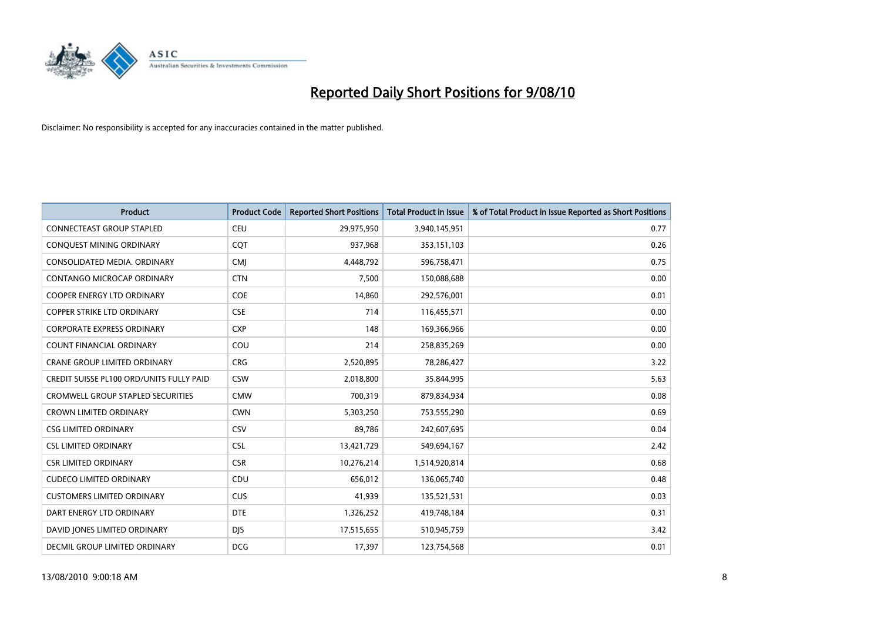

| <b>Product</b>                                  | <b>Product Code</b> | <b>Reported Short Positions</b> | Total Product in Issue | % of Total Product in Issue Reported as Short Positions |
|-------------------------------------------------|---------------------|---------------------------------|------------------------|---------------------------------------------------------|
| <b>CONNECTEAST GROUP STAPLED</b>                | <b>CEU</b>          | 29,975,950                      | 3,940,145,951          | 0.77                                                    |
| CONQUEST MINING ORDINARY                        | <b>COT</b>          | 937,968                         | 353,151,103            | 0.26                                                    |
| CONSOLIDATED MEDIA, ORDINARY                    | <b>CMJ</b>          | 4,448,792                       | 596,758,471            | 0.75                                                    |
| CONTANGO MICROCAP ORDINARY                      | <b>CTN</b>          | 7,500                           | 150,088,688            | 0.00                                                    |
| COOPER ENERGY LTD ORDINARY                      | COE                 | 14,860                          | 292,576,001            | 0.01                                                    |
| <b>COPPER STRIKE LTD ORDINARY</b>               | <b>CSE</b>          | 714                             | 116,455,571            | 0.00                                                    |
| <b>CORPORATE EXPRESS ORDINARY</b>               | <b>CXP</b>          | 148                             | 169,366,966            | 0.00                                                    |
| <b>COUNT FINANCIAL ORDINARY</b>                 | COU                 | 214                             | 258,835,269            | 0.00                                                    |
| CRANE GROUP LIMITED ORDINARY                    | <b>CRG</b>          | 2,520,895                       | 78,286,427             | 3.22                                                    |
| <b>CREDIT SUISSE PL100 ORD/UNITS FULLY PAID</b> | <b>CSW</b>          | 2,018,800                       | 35,844,995             | 5.63                                                    |
| <b>CROMWELL GROUP STAPLED SECURITIES</b>        | <b>CMW</b>          | 700,319                         | 879,834,934            | 0.08                                                    |
| <b>CROWN LIMITED ORDINARY</b>                   | <b>CWN</b>          | 5,303,250                       | 753,555,290            | 0.69                                                    |
| <b>CSG LIMITED ORDINARY</b>                     | CSV                 | 89,786                          | 242,607,695            | 0.04                                                    |
| <b>CSL LIMITED ORDINARY</b>                     | <b>CSL</b>          | 13,421,729                      | 549,694,167            | 2.42                                                    |
| <b>CSR LIMITED ORDINARY</b>                     | <b>CSR</b>          | 10,276,214                      | 1,514,920,814          | 0.68                                                    |
| <b>CUDECO LIMITED ORDINARY</b>                  | CDU                 | 656,012                         | 136,065,740            | 0.48                                                    |
| <b>CUSTOMERS LIMITED ORDINARY</b>               | <b>CUS</b>          | 41,939                          | 135,521,531            | 0.03                                                    |
| DART ENERGY LTD ORDINARY                        | <b>DTE</b>          | 1,326,252                       | 419,748,184            | 0.31                                                    |
| DAVID JONES LIMITED ORDINARY                    | <b>DIS</b>          | 17,515,655                      | 510,945,759            | 3.42                                                    |
| DECMIL GROUP LIMITED ORDINARY                   | <b>DCG</b>          | 17,397                          | 123,754,568            | 0.01                                                    |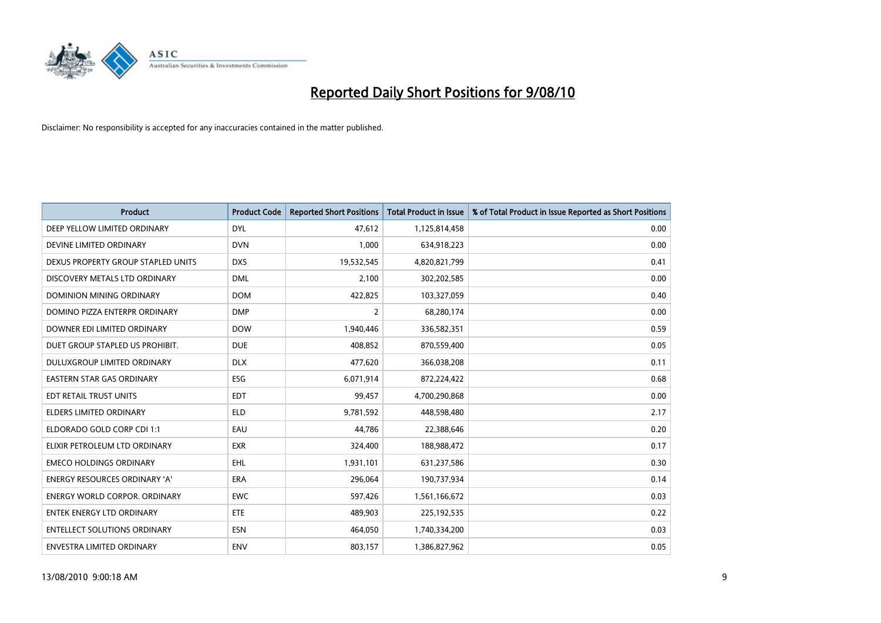

| <b>Product</b>                       | <b>Product Code</b> | <b>Reported Short Positions</b> | Total Product in Issue | % of Total Product in Issue Reported as Short Positions |
|--------------------------------------|---------------------|---------------------------------|------------------------|---------------------------------------------------------|
| DEEP YELLOW LIMITED ORDINARY         | <b>DYL</b>          | 47,612                          | 1,125,814,458          | 0.00                                                    |
| DEVINE LIMITED ORDINARY              | <b>DVN</b>          | 1,000                           | 634,918,223            | 0.00                                                    |
| DEXUS PROPERTY GROUP STAPLED UNITS   | <b>DXS</b>          | 19,532,545                      | 4,820,821,799          | 0.41                                                    |
| DISCOVERY METALS LTD ORDINARY        | <b>DML</b>          | 2,100                           | 302,202,585            | 0.00                                                    |
| DOMINION MINING ORDINARY             | <b>DOM</b>          | 422,825                         | 103,327,059            | 0.40                                                    |
| DOMINO PIZZA ENTERPR ORDINARY        | <b>DMP</b>          | $\overline{2}$                  | 68,280,174             | 0.00                                                    |
| DOWNER EDI LIMITED ORDINARY          | <b>DOW</b>          | 1,940,446                       | 336,582,351            | 0.59                                                    |
| DUET GROUP STAPLED US PROHIBIT.      | <b>DUE</b>          | 408,852                         | 870,559,400            | 0.05                                                    |
| DULUXGROUP LIMITED ORDINARY          | <b>DLX</b>          | 477,620                         | 366,038,208            | 0.11                                                    |
| <b>EASTERN STAR GAS ORDINARY</b>     | <b>ESG</b>          | 6,071,914                       | 872,224,422            | 0.68                                                    |
| EDT RETAIL TRUST UNITS               | <b>EDT</b>          | 99,457                          | 4,700,290,868          | 0.00                                                    |
| <b>ELDERS LIMITED ORDINARY</b>       | <b>ELD</b>          | 9,781,592                       | 448,598,480            | 2.17                                                    |
| ELDORADO GOLD CORP CDI 1:1           | EAU                 | 44,786                          | 22,388,646             | 0.20                                                    |
| ELIXIR PETROLEUM LTD ORDINARY        | <b>EXR</b>          | 324,400                         | 188,988,472            | 0.17                                                    |
| <b>EMECO HOLDINGS ORDINARY</b>       | <b>EHL</b>          | 1,931,101                       | 631,237,586            | 0.30                                                    |
| ENERGY RESOURCES ORDINARY 'A'        | ERA                 | 296,064                         | 190,737,934            | 0.14                                                    |
| <b>ENERGY WORLD CORPOR, ORDINARY</b> | <b>EWC</b>          | 597,426                         | 1,561,166,672          | 0.03                                                    |
| <b>ENTEK ENERGY LTD ORDINARY</b>     | <b>ETE</b>          | 489,903                         | 225,192,535            | 0.22                                                    |
| <b>ENTELLECT SOLUTIONS ORDINARY</b>  | <b>ESN</b>          | 464,050                         | 1,740,334,200          | 0.03                                                    |
| <b>ENVESTRA LIMITED ORDINARY</b>     | <b>ENV</b>          | 803,157                         | 1,386,827,962          | 0.05                                                    |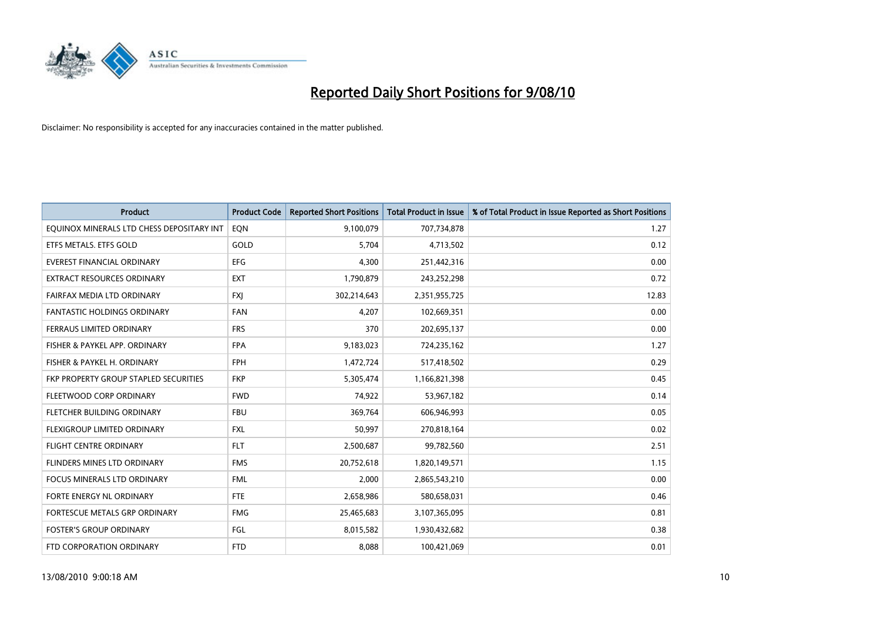

| <b>Product</b>                            | <b>Product Code</b> | <b>Reported Short Positions</b> | <b>Total Product in Issue</b> | % of Total Product in Issue Reported as Short Positions |
|-------------------------------------------|---------------------|---------------------------------|-------------------------------|---------------------------------------------------------|
| EQUINOX MINERALS LTD CHESS DEPOSITARY INT | EON                 | 9,100,079                       | 707,734,878                   | 1.27                                                    |
| ETFS METALS. ETFS GOLD                    | GOLD                | 5,704                           | 4,713,502                     | 0.12                                                    |
| EVEREST FINANCIAL ORDINARY                | <b>EFG</b>          | 4,300                           | 251,442,316                   | 0.00                                                    |
| EXTRACT RESOURCES ORDINARY                | <b>EXT</b>          | 1,790,879                       | 243,252,298                   | 0.72                                                    |
| FAIRFAX MEDIA LTD ORDINARY                | <b>FXI</b>          | 302,214,643                     | 2,351,955,725                 | 12.83                                                   |
| <b>FANTASTIC HOLDINGS ORDINARY</b>        | <b>FAN</b>          | 4,207                           | 102,669,351                   | 0.00                                                    |
| FERRAUS LIMITED ORDINARY                  | <b>FRS</b>          | 370                             | 202,695,137                   | 0.00                                                    |
| FISHER & PAYKEL APP. ORDINARY             | <b>FPA</b>          | 9,183,023                       | 724,235,162                   | 1.27                                                    |
| FISHER & PAYKEL H. ORDINARY               | <b>FPH</b>          | 1,472,724                       | 517,418,502                   | 0.29                                                    |
| FKP PROPERTY GROUP STAPLED SECURITIES     | <b>FKP</b>          | 5,305,474                       | 1,166,821,398                 | 0.45                                                    |
| FLEETWOOD CORP ORDINARY                   | <b>FWD</b>          | 74,922                          | 53,967,182                    | 0.14                                                    |
| FLETCHER BUILDING ORDINARY                | <b>FBU</b>          | 369,764                         | 606,946,993                   | 0.05                                                    |
| FLEXIGROUP LIMITED ORDINARY               | <b>FXL</b>          | 50,997                          | 270,818,164                   | 0.02                                                    |
| <b>FLIGHT CENTRE ORDINARY</b>             | <b>FLT</b>          | 2,500,687                       | 99,782,560                    | 2.51                                                    |
| FLINDERS MINES LTD ORDINARY               | <b>FMS</b>          | 20,752,618                      | 1,820,149,571                 | 1.15                                                    |
| FOCUS MINERALS LTD ORDINARY               | <b>FML</b>          | 2,000                           | 2,865,543,210                 | 0.00                                                    |
| FORTE ENERGY NL ORDINARY                  | <b>FTE</b>          | 2,658,986                       | 580,658,031                   | 0.46                                                    |
| FORTESCUE METALS GRP ORDINARY             | <b>FMG</b>          | 25,465,683                      | 3,107,365,095                 | 0.81                                                    |
| <b>FOSTER'S GROUP ORDINARY</b>            | FGL                 | 8,015,582                       | 1,930,432,682                 | 0.38                                                    |
| FTD CORPORATION ORDINARY                  | <b>FTD</b>          | 8,088                           | 100,421,069                   | 0.01                                                    |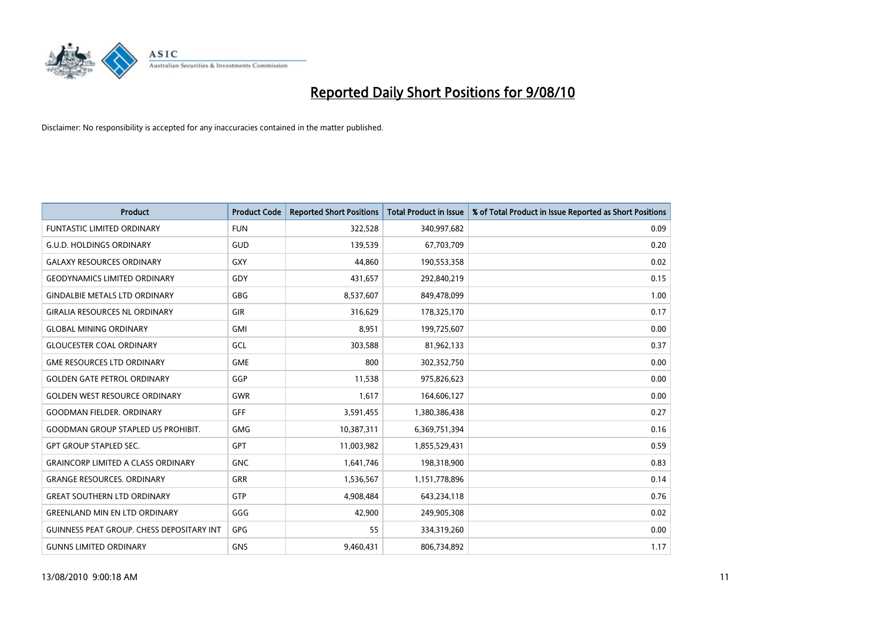

| <b>Product</b>                                   | <b>Product Code</b> | <b>Reported Short Positions</b> | <b>Total Product in Issue</b> | % of Total Product in Issue Reported as Short Positions |
|--------------------------------------------------|---------------------|---------------------------------|-------------------------------|---------------------------------------------------------|
| <b>FUNTASTIC LIMITED ORDINARY</b>                | <b>FUN</b>          | 322,528                         | 340,997,682                   | 0.09                                                    |
| <b>G.U.D. HOLDINGS ORDINARY</b>                  | GUD                 | 139,539                         | 67,703,709                    | 0.20                                                    |
| <b>GALAXY RESOURCES ORDINARY</b>                 | <b>GXY</b>          | 44.860                          | 190,553,358                   | 0.02                                                    |
| <b>GEODYNAMICS LIMITED ORDINARY</b>              | GDY                 | 431,657                         | 292,840,219                   | 0.15                                                    |
| <b>GINDALBIE METALS LTD ORDINARY</b>             | <b>GBG</b>          | 8,537,607                       | 849,478,099                   | 1.00                                                    |
| <b>GIRALIA RESOURCES NL ORDINARY</b>             | <b>GIR</b>          | 316,629                         | 178,325,170                   | 0.17                                                    |
| <b>GLOBAL MINING ORDINARY</b>                    | <b>GMI</b>          | 8.951                           | 199,725,607                   | 0.00                                                    |
| <b>GLOUCESTER COAL ORDINARY</b>                  | GCL                 | 303,588                         | 81,962,133                    | 0.37                                                    |
| <b>GME RESOURCES LTD ORDINARY</b>                | <b>GME</b>          | 800                             | 302,352,750                   | 0.00                                                    |
| <b>GOLDEN GATE PETROL ORDINARY</b>               | GGP                 | 11,538                          | 975,826,623                   | 0.00                                                    |
| <b>GOLDEN WEST RESOURCE ORDINARY</b>             | <b>GWR</b>          | 1,617                           | 164,606,127                   | 0.00                                                    |
| <b>GOODMAN FIELDER, ORDINARY</b>                 | <b>GFF</b>          | 3,591,455                       | 1,380,386,438                 | 0.27                                                    |
| <b>GOODMAN GROUP STAPLED US PROHIBIT.</b>        | <b>GMG</b>          | 10,387,311                      | 6,369,751,394                 | 0.16                                                    |
| <b>GPT GROUP STAPLED SEC.</b>                    | <b>GPT</b>          | 11,003,982                      | 1,855,529,431                 | 0.59                                                    |
| <b>GRAINCORP LIMITED A CLASS ORDINARY</b>        | <b>GNC</b>          | 1,641,746                       | 198,318,900                   | 0.83                                                    |
| <b>GRANGE RESOURCES. ORDINARY</b>                | GRR                 | 1,536,567                       | 1,151,778,896                 | 0.14                                                    |
| <b>GREAT SOUTHERN LTD ORDINARY</b>               | <b>GTP</b>          | 4,908,484                       | 643,234,118                   | 0.76                                                    |
| <b>GREENLAND MIN EN LTD ORDINARY</b>             | GGG                 | 42,900                          | 249,905,308                   | 0.02                                                    |
| <b>GUINNESS PEAT GROUP. CHESS DEPOSITARY INT</b> | <b>GPG</b>          | 55                              | 334,319,260                   | 0.00                                                    |
| <b>GUNNS LIMITED ORDINARY</b>                    | <b>GNS</b>          | 9,460,431                       | 806,734,892                   | 1.17                                                    |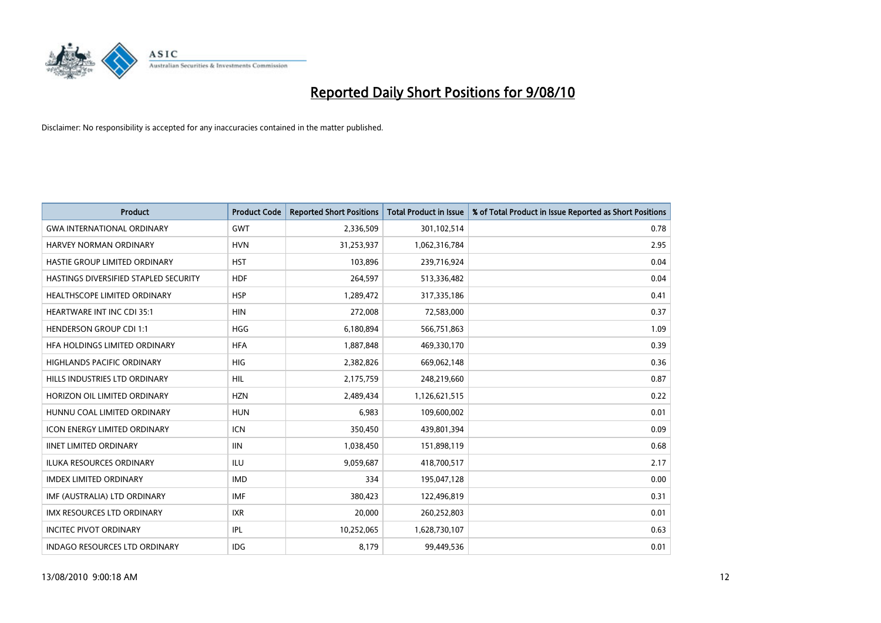

| <b>Product</b>                        | <b>Product Code</b> | <b>Reported Short Positions</b> | <b>Total Product in Issue</b> | % of Total Product in Issue Reported as Short Positions |
|---------------------------------------|---------------------|---------------------------------|-------------------------------|---------------------------------------------------------|
| <b>GWA INTERNATIONAL ORDINARY</b>     | <b>GWT</b>          | 2,336,509                       | 301,102,514                   | 0.78                                                    |
| <b>HARVEY NORMAN ORDINARY</b>         | <b>HVN</b>          | 31,253,937                      | 1,062,316,784                 | 2.95                                                    |
| <b>HASTIE GROUP LIMITED ORDINARY</b>  | <b>HST</b>          | 103,896                         | 239,716,924                   | 0.04                                                    |
| HASTINGS DIVERSIFIED STAPLED SECURITY | <b>HDF</b>          | 264,597                         | 513,336,482                   | 0.04                                                    |
| HEALTHSCOPE LIMITED ORDINARY          | <b>HSP</b>          | 1,289,472                       | 317,335,186                   | 0.41                                                    |
| <b>HEARTWARE INT INC CDI 35:1</b>     | <b>HIN</b>          | 272,008                         | 72,583,000                    | 0.37                                                    |
| <b>HENDERSON GROUP CDI 1:1</b>        | <b>HGG</b>          | 6,180,894                       | 566,751,863                   | 1.09                                                    |
| HFA HOLDINGS LIMITED ORDINARY         | <b>HFA</b>          | 1,887,848                       | 469,330,170                   | 0.39                                                    |
| HIGHLANDS PACIFIC ORDINARY            | <b>HIG</b>          | 2,382,826                       | 669,062,148                   | 0.36                                                    |
| HILLS INDUSTRIES LTD ORDINARY         | <b>HIL</b>          | 2,175,759                       | 248,219,660                   | 0.87                                                    |
| HORIZON OIL LIMITED ORDINARY          | <b>HZN</b>          | 2,489,434                       | 1,126,621,515                 | 0.22                                                    |
| HUNNU COAL LIMITED ORDINARY           | <b>HUN</b>          | 6,983                           | 109,600,002                   | 0.01                                                    |
| <b>ICON ENERGY LIMITED ORDINARY</b>   | <b>ICN</b>          | 350.450                         | 439,801,394                   | 0.09                                                    |
| <b>IINET LIMITED ORDINARY</b>         | <b>IIN</b>          | 1,038,450                       | 151,898,119                   | 0.68                                                    |
| <b>ILUKA RESOURCES ORDINARY</b>       | <b>ILU</b>          | 9,059,687                       | 418,700,517                   | 2.17                                                    |
| <b>IMDEX LIMITED ORDINARY</b>         | <b>IMD</b>          | 334                             | 195,047,128                   | 0.00                                                    |
| IMF (AUSTRALIA) LTD ORDINARY          | <b>IMF</b>          | 380,423                         | 122,496,819                   | 0.31                                                    |
| IMX RESOURCES LTD ORDINARY            | <b>IXR</b>          | 20,000                          | 260,252,803                   | 0.01                                                    |
| <b>INCITEC PIVOT ORDINARY</b>         | <b>IPL</b>          | 10,252,065                      | 1,628,730,107                 | 0.63                                                    |
| <b>INDAGO RESOURCES LTD ORDINARY</b>  | <b>IDG</b>          | 8.179                           | 99,449,536                    | 0.01                                                    |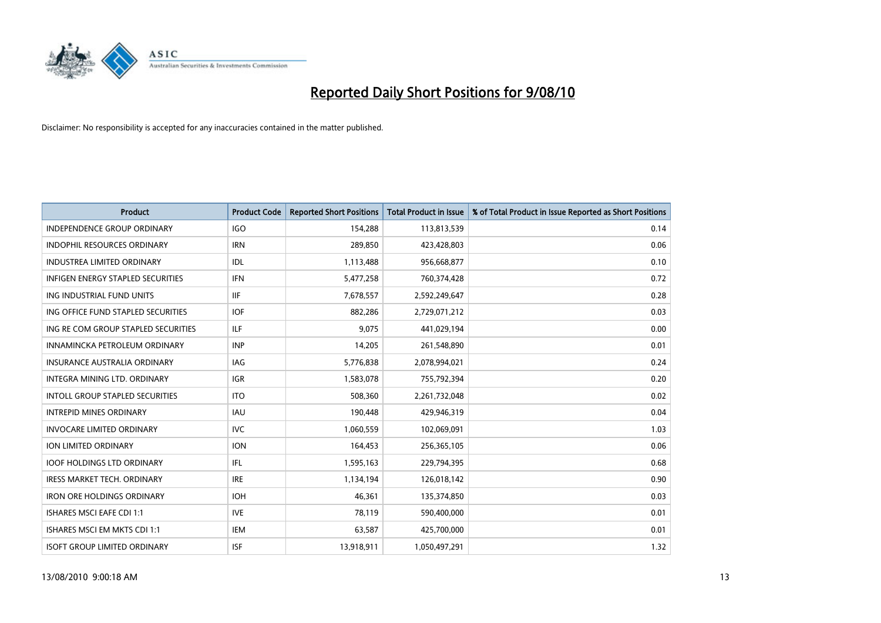

| <b>Product</b>                      | <b>Product Code</b> | <b>Reported Short Positions</b> | <b>Total Product in Issue</b> | % of Total Product in Issue Reported as Short Positions |
|-------------------------------------|---------------------|---------------------------------|-------------------------------|---------------------------------------------------------|
| <b>INDEPENDENCE GROUP ORDINARY</b>  | <b>IGO</b>          | 154,288                         | 113,813,539                   | 0.14                                                    |
| INDOPHIL RESOURCES ORDINARY         | <b>IRN</b>          | 289,850                         | 423,428,803                   | 0.06                                                    |
| <b>INDUSTREA LIMITED ORDINARY</b>   | IDL                 | 1,113,488                       | 956,668,877                   | 0.10                                                    |
| INFIGEN ENERGY STAPLED SECURITIES   | <b>IFN</b>          | 5,477,258                       | 760,374,428                   | 0.72                                                    |
| ING INDUSTRIAL FUND UNITS           | <b>IIF</b>          | 7,678,557                       | 2,592,249,647                 | 0.28                                                    |
| ING OFFICE FUND STAPLED SECURITIES  | <b>IOF</b>          | 882,286                         | 2,729,071,212                 | 0.03                                                    |
| ING RE COM GROUP STAPLED SECURITIES | <b>ILF</b>          | 9,075                           | 441,029,194                   | 0.00                                                    |
| INNAMINCKA PETROLEUM ORDINARY       | <b>INP</b>          | 14,205                          | 261,548,890                   | 0.01                                                    |
| <b>INSURANCE AUSTRALIA ORDINARY</b> | <b>IAG</b>          | 5,776,838                       | 2,078,994,021                 | 0.24                                                    |
| INTEGRA MINING LTD, ORDINARY        | <b>IGR</b>          | 1,583,078                       | 755,792,394                   | 0.20                                                    |
| INTOLL GROUP STAPLED SECURITIES     | <b>ITO</b>          | 508,360                         | 2,261,732,048                 | 0.02                                                    |
| <b>INTREPID MINES ORDINARY</b>      | <b>IAU</b>          | 190,448                         | 429,946,319                   | 0.04                                                    |
| <b>INVOCARE LIMITED ORDINARY</b>    | <b>IVC</b>          | 1,060,559                       | 102,069,091                   | 1.03                                                    |
| ION LIMITED ORDINARY                | <b>ION</b>          | 164,453                         | 256,365,105                   | 0.06                                                    |
| <b>IOOF HOLDINGS LTD ORDINARY</b>   | <b>IFL</b>          | 1,595,163                       | 229,794,395                   | 0.68                                                    |
| IRESS MARKET TECH. ORDINARY         | <b>IRE</b>          | 1,134,194                       | 126,018,142                   | 0.90                                                    |
| <b>IRON ORE HOLDINGS ORDINARY</b>   | <b>IOH</b>          | 46,361                          | 135,374,850                   | 0.03                                                    |
| <b>ISHARES MSCI EAFE CDI 1:1</b>    | <b>IVE</b>          | 78,119                          | 590,400,000                   | 0.01                                                    |
| ISHARES MSCI EM MKTS CDI 1:1        | <b>IEM</b>          | 63,587                          | 425,700,000                   | 0.01                                                    |
| <b>ISOFT GROUP LIMITED ORDINARY</b> | <b>ISF</b>          | 13,918,911                      | 1,050,497,291                 | 1.32                                                    |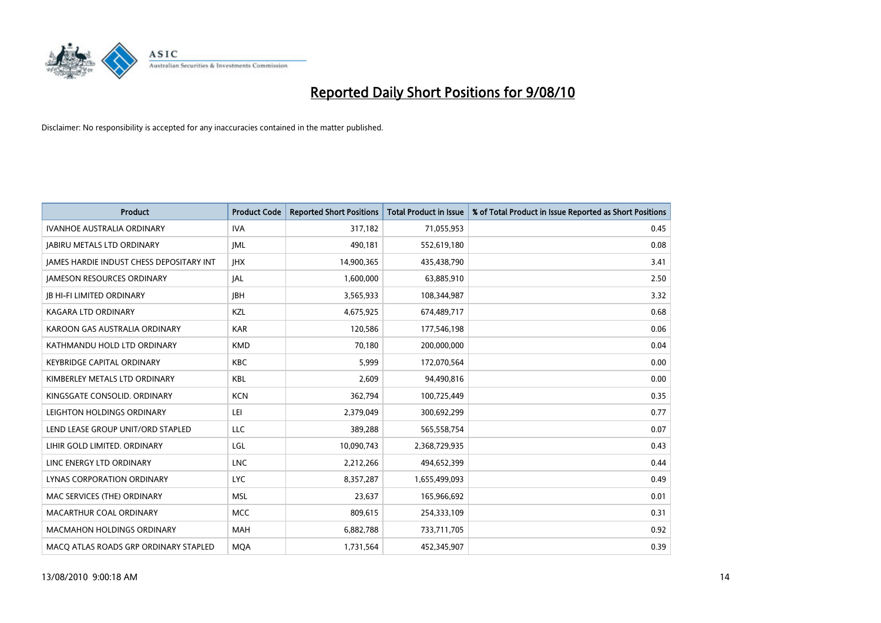

| <b>Product</b>                                  | <b>Product Code</b> | <b>Reported Short Positions</b> | <b>Total Product in Issue</b> | % of Total Product in Issue Reported as Short Positions |
|-------------------------------------------------|---------------------|---------------------------------|-------------------------------|---------------------------------------------------------|
| <b>IVANHOE AUSTRALIA ORDINARY</b>               | <b>IVA</b>          | 317,182                         | 71,055,953                    | 0.45                                                    |
| <b>JABIRU METALS LTD ORDINARY</b>               | <b>JML</b>          | 490,181                         | 552,619,180                   | 0.08                                                    |
| <b>JAMES HARDIE INDUST CHESS DEPOSITARY INT</b> | <b>IHX</b>          | 14,900,365                      | 435,438,790                   | 3.41                                                    |
| <b>JAMESON RESOURCES ORDINARY</b>               | JAL                 | 1,600,000                       | 63,885,910                    | 2.50                                                    |
| <b>JB HI-FI LIMITED ORDINARY</b>                | <b>IBH</b>          | 3,565,933                       | 108,344,987                   | 3.32                                                    |
| <b>KAGARA LTD ORDINARY</b>                      | KZL                 | 4,675,925                       | 674,489,717                   | 0.68                                                    |
| KAROON GAS AUSTRALIA ORDINARY                   | <b>KAR</b>          | 120,586                         | 177,546,198                   | 0.06                                                    |
| KATHMANDU HOLD LTD ORDINARY                     | <b>KMD</b>          | 70,180                          | 200,000,000                   | 0.04                                                    |
| <b>KEYBRIDGE CAPITAL ORDINARY</b>               | <b>KBC</b>          | 5,999                           | 172,070,564                   | 0.00                                                    |
| KIMBERLEY METALS LTD ORDINARY                   | <b>KBL</b>          | 2,609                           | 94,490,816                    | 0.00                                                    |
| KINGSGATE CONSOLID. ORDINARY                    | <b>KCN</b>          | 362,794                         | 100,725,449                   | 0.35                                                    |
| LEIGHTON HOLDINGS ORDINARY                      | LEI                 | 2,379,049                       | 300,692,299                   | 0.77                                                    |
| LEND LEASE GROUP UNIT/ORD STAPLED               | LLC                 | 389,288                         | 565,558,754                   | 0.07                                                    |
| LIHIR GOLD LIMITED. ORDINARY                    | LGL                 | 10,090,743                      | 2,368,729,935                 | 0.43                                                    |
| LINC ENERGY LTD ORDINARY                        | <b>LNC</b>          | 2,212,266                       | 494,652,399                   | 0.44                                                    |
| LYNAS CORPORATION ORDINARY                      | <b>LYC</b>          | 8,357,287                       | 1,655,499,093                 | 0.49                                                    |
| MAC SERVICES (THE) ORDINARY                     | <b>MSL</b>          | 23,637                          | 165,966,692                   | 0.01                                                    |
| MACARTHUR COAL ORDINARY                         | <b>MCC</b>          | 809,615                         | 254,333,109                   | 0.31                                                    |
| <b>MACMAHON HOLDINGS ORDINARY</b>               | <b>MAH</b>          | 6,882,788                       | 733,711,705                   | 0.92                                                    |
| MACO ATLAS ROADS GRP ORDINARY STAPLED           | <b>MOA</b>          | 1,731,564                       | 452,345,907                   | 0.39                                                    |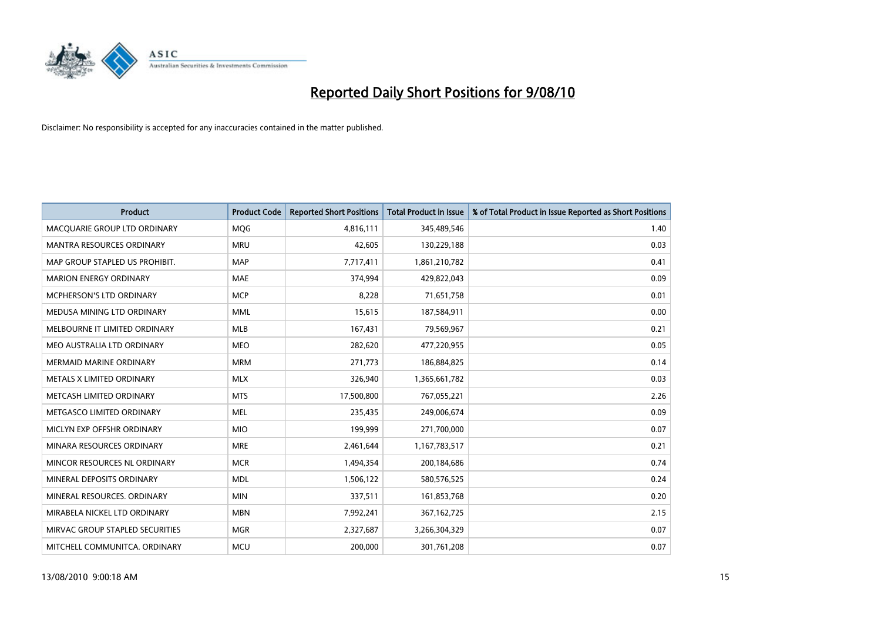

| <b>Product</b>                  | <b>Product Code</b> | <b>Reported Short Positions</b> | Total Product in Issue | % of Total Product in Issue Reported as Short Positions |
|---------------------------------|---------------------|---------------------------------|------------------------|---------------------------------------------------------|
| MACQUARIE GROUP LTD ORDINARY    | <b>MQG</b>          | 4,816,111                       | 345,489,546            | 1.40                                                    |
| MANTRA RESOURCES ORDINARY       | <b>MRU</b>          | 42,605                          | 130,229,188            | 0.03                                                    |
| MAP GROUP STAPLED US PROHIBIT.  | <b>MAP</b>          | 7,717,411                       | 1,861,210,782          | 0.41                                                    |
| <b>MARION ENERGY ORDINARY</b>   | <b>MAE</b>          | 374,994                         | 429,822,043            | 0.09                                                    |
| <b>MCPHERSON'S LTD ORDINARY</b> | <b>MCP</b>          | 8,228                           | 71,651,758             | 0.01                                                    |
| MEDUSA MINING LTD ORDINARY      | <b>MML</b>          | 15,615                          | 187,584,911            | 0.00                                                    |
| MELBOURNE IT LIMITED ORDINARY   | <b>MLB</b>          | 167,431                         | 79,569,967             | 0.21                                                    |
| MEO AUSTRALIA LTD ORDINARY      | <b>MEO</b>          | 282,620                         | 477,220,955            | 0.05                                                    |
| <b>MERMAID MARINE ORDINARY</b>  | <b>MRM</b>          | 271,773                         | 186,884,825            | 0.14                                                    |
| METALS X LIMITED ORDINARY       | <b>MLX</b>          | 326,940                         | 1,365,661,782          | 0.03                                                    |
| METCASH LIMITED ORDINARY        | <b>MTS</b>          | 17,500,800                      | 767,055,221            | 2.26                                                    |
| METGASCO LIMITED ORDINARY       | <b>MEL</b>          | 235,435                         | 249,006,674            | 0.09                                                    |
| MICLYN EXP OFFSHR ORDINARY      | <b>MIO</b>          | 199,999                         | 271,700,000            | 0.07                                                    |
| MINARA RESOURCES ORDINARY       | <b>MRE</b>          | 2,461,644                       | 1,167,783,517          | 0.21                                                    |
| MINCOR RESOURCES NL ORDINARY    | <b>MCR</b>          | 1,494,354                       | 200,184,686            | 0.74                                                    |
| MINERAL DEPOSITS ORDINARY       | <b>MDL</b>          | 1,506,122                       | 580,576,525            | 0.24                                                    |
| MINERAL RESOURCES. ORDINARY     | <b>MIN</b>          | 337,511                         | 161,853,768            | 0.20                                                    |
| MIRABELA NICKEL LTD ORDINARY    | <b>MBN</b>          | 7,992,241                       | 367, 162, 725          | 2.15                                                    |
| MIRVAC GROUP STAPLED SECURITIES | <b>MGR</b>          | 2,327,687                       | 3,266,304,329          | 0.07                                                    |
| MITCHELL COMMUNITCA. ORDINARY   | <b>MCU</b>          | 200,000                         | 301,761,208            | 0.07                                                    |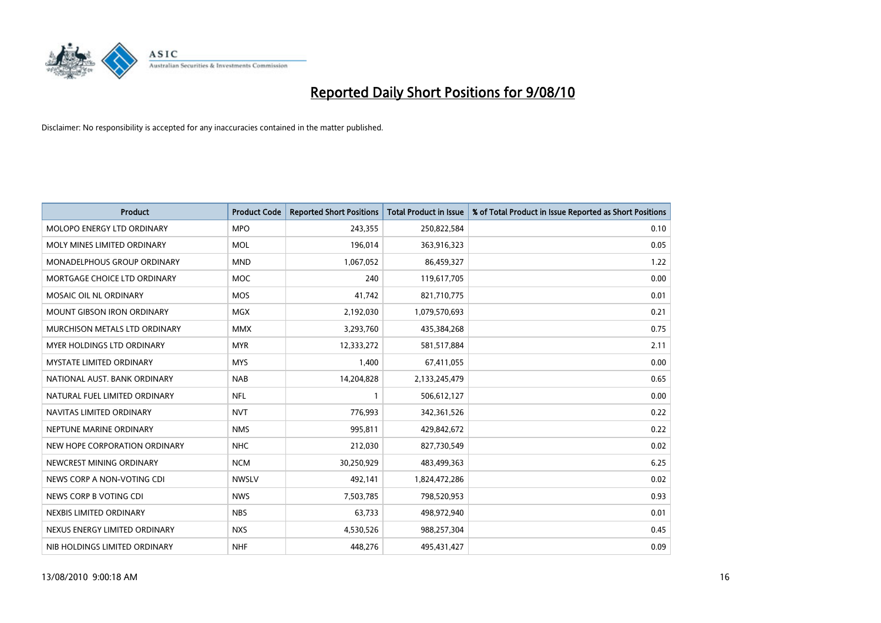

| <b>Product</b>                    | <b>Product Code</b> | <b>Reported Short Positions</b> | Total Product in Issue | % of Total Product in Issue Reported as Short Positions |
|-----------------------------------|---------------------|---------------------------------|------------------------|---------------------------------------------------------|
| MOLOPO ENERGY LTD ORDINARY        | <b>MPO</b>          | 243,355                         | 250,822,584            | 0.10                                                    |
| MOLY MINES LIMITED ORDINARY       | <b>MOL</b>          | 196,014                         | 363,916,323            | 0.05                                                    |
| MONADELPHOUS GROUP ORDINARY       | <b>MND</b>          | 1,067,052                       | 86,459,327             | 1.22                                                    |
| MORTGAGE CHOICE LTD ORDINARY      | <b>MOC</b>          | 240                             | 119,617,705            | 0.00                                                    |
| MOSAIC OIL NL ORDINARY            | <b>MOS</b>          | 41,742                          | 821,710,775            | 0.01                                                    |
| <b>MOUNT GIBSON IRON ORDINARY</b> | <b>MGX</b>          | 2,192,030                       | 1,079,570,693          | 0.21                                                    |
| MURCHISON METALS LTD ORDINARY     | <b>MMX</b>          | 3,293,760                       | 435,384,268            | 0.75                                                    |
| MYER HOLDINGS LTD ORDINARY        | <b>MYR</b>          | 12,333,272                      | 581,517,884            | 2.11                                                    |
| <b>MYSTATE LIMITED ORDINARY</b>   | <b>MYS</b>          | 1,400                           | 67,411,055             | 0.00                                                    |
| NATIONAL AUST. BANK ORDINARY      | <b>NAB</b>          | 14,204,828                      | 2,133,245,479          | 0.65                                                    |
| NATURAL FUEL LIMITED ORDINARY     | <b>NFL</b>          |                                 | 506,612,127            | 0.00                                                    |
| NAVITAS LIMITED ORDINARY          | <b>NVT</b>          | 776,993                         | 342,361,526            | 0.22                                                    |
| NEPTUNE MARINE ORDINARY           | <b>NMS</b>          | 995,811                         | 429,842,672            | 0.22                                                    |
| NEW HOPE CORPORATION ORDINARY     | <b>NHC</b>          | 212,030                         | 827,730,549            | 0.02                                                    |
| NEWCREST MINING ORDINARY          | <b>NCM</b>          | 30,250,929                      | 483,499,363            | 6.25                                                    |
| NEWS CORP A NON-VOTING CDI        | <b>NWSLV</b>        | 492,141                         | 1,824,472,286          | 0.02                                                    |
| NEWS CORP B VOTING CDI            | <b>NWS</b>          | 7,503,785                       | 798,520,953            | 0.93                                                    |
| NEXBIS LIMITED ORDINARY           | <b>NBS</b>          | 63,733                          | 498,972,940            | 0.01                                                    |
| NEXUS ENERGY LIMITED ORDINARY     | <b>NXS</b>          | 4,530,526                       | 988,257,304            | 0.45                                                    |
| NIB HOLDINGS LIMITED ORDINARY     | <b>NHF</b>          | 448,276                         | 495,431,427            | 0.09                                                    |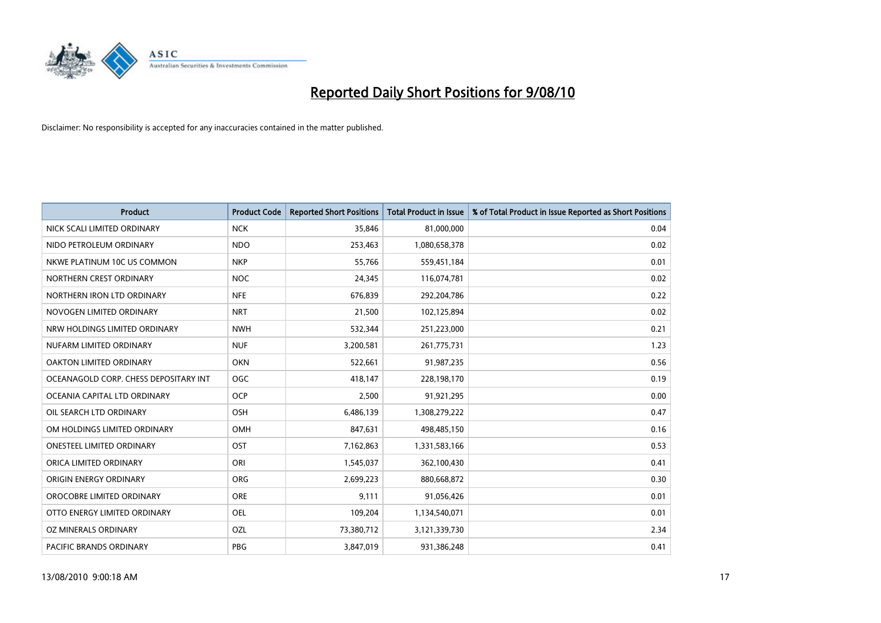

| <b>Product</b>                        | <b>Product Code</b> | <b>Reported Short Positions</b> | Total Product in Issue | % of Total Product in Issue Reported as Short Positions |
|---------------------------------------|---------------------|---------------------------------|------------------------|---------------------------------------------------------|
| NICK SCALI LIMITED ORDINARY           | <b>NCK</b>          | 35,846                          | 81,000,000             | 0.04                                                    |
| NIDO PETROLEUM ORDINARY               | <b>NDO</b>          | 253,463                         | 1,080,658,378          | 0.02                                                    |
| NKWE PLATINUM 10C US COMMON           | <b>NKP</b>          | 55,766                          | 559,451,184            | 0.01                                                    |
| NORTHERN CREST ORDINARY               | <b>NOC</b>          | 24,345                          | 116,074,781            | 0.02                                                    |
| NORTHERN IRON LTD ORDINARY            | <b>NFE</b>          | 676,839                         | 292,204,786            | 0.22                                                    |
| NOVOGEN LIMITED ORDINARY              | <b>NRT</b>          | 21,500                          | 102,125,894            | 0.02                                                    |
| NRW HOLDINGS LIMITED ORDINARY         | <b>NWH</b>          | 532,344                         | 251,223,000            | 0.21                                                    |
| NUFARM LIMITED ORDINARY               | <b>NUF</b>          | 3,200,581                       | 261,775,731            | 1.23                                                    |
| OAKTON LIMITED ORDINARY               | <b>OKN</b>          | 522,661                         | 91,987,235             | 0.56                                                    |
| OCEANAGOLD CORP. CHESS DEPOSITARY INT | <b>OGC</b>          | 418,147                         | 228,198,170            | 0.19                                                    |
| OCEANIA CAPITAL LTD ORDINARY          | <b>OCP</b>          | 2,500                           | 91,921,295             | 0.00                                                    |
| OIL SEARCH LTD ORDINARY               | OSH                 | 6,486,139                       | 1,308,279,222          | 0.47                                                    |
| OM HOLDINGS LIMITED ORDINARY          | OMH                 | 847,631                         | 498,485,150            | 0.16                                                    |
| <b>ONESTEEL LIMITED ORDINARY</b>      | OST                 | 7,162,863                       | 1,331,583,166          | 0.53                                                    |
| ORICA LIMITED ORDINARY                | ORI                 | 1,545,037                       | 362,100,430            | 0.41                                                    |
| ORIGIN ENERGY ORDINARY                | <b>ORG</b>          | 2,699,223                       | 880,668,872            | 0.30                                                    |
| OROCOBRE LIMITED ORDINARY             | <b>ORE</b>          | 9,111                           | 91,056,426             | 0.01                                                    |
| OTTO ENERGY LIMITED ORDINARY          | <b>OEL</b>          | 109,204                         | 1,134,540,071          | 0.01                                                    |
| OZ MINERALS ORDINARY                  | OZL                 | 73,380,712                      | 3,121,339,730          | 2.34                                                    |
| <b>PACIFIC BRANDS ORDINARY</b>        | <b>PBG</b>          | 3,847,019                       | 931,386,248            | 0.41                                                    |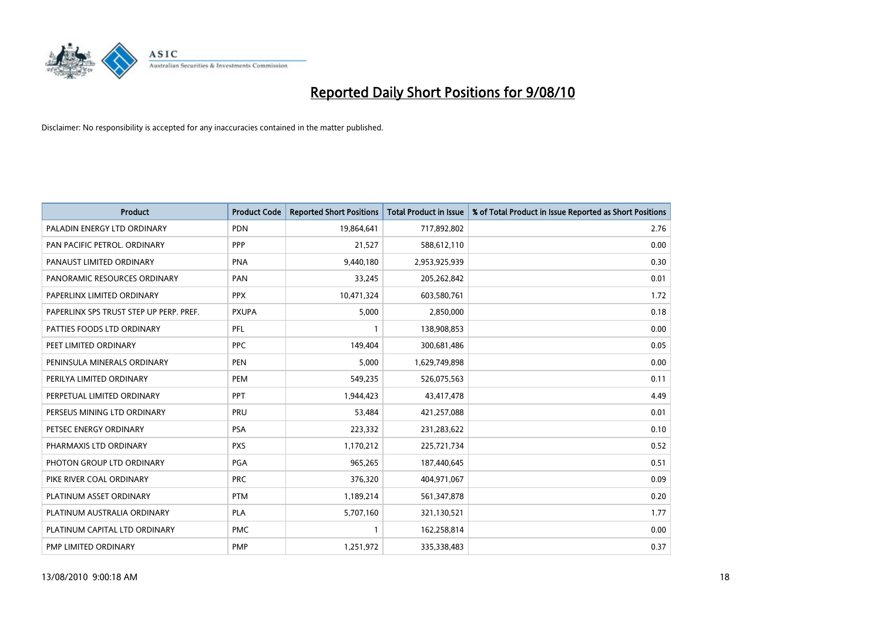

| <b>Product</b>                          | <b>Product Code</b> | <b>Reported Short Positions</b> | <b>Total Product in Issue</b> | % of Total Product in Issue Reported as Short Positions |
|-----------------------------------------|---------------------|---------------------------------|-------------------------------|---------------------------------------------------------|
| PALADIN ENERGY LTD ORDINARY             | <b>PDN</b>          | 19,864,641                      | 717,892,802                   | 2.76                                                    |
| PAN PACIFIC PETROL. ORDINARY            | <b>PPP</b>          | 21,527                          | 588,612,110                   | 0.00                                                    |
| PANAUST LIMITED ORDINARY                | <b>PNA</b>          | 9,440,180                       | 2,953,925,939                 | 0.30                                                    |
| PANORAMIC RESOURCES ORDINARY            | PAN                 | 33,245                          | 205,262,842                   | 0.01                                                    |
| PAPERLINX LIMITED ORDINARY              | <b>PPX</b>          | 10,471,324                      | 603,580,761                   | 1.72                                                    |
| PAPERLINX SPS TRUST STEP UP PERP. PREF. | <b>PXUPA</b>        | 5,000                           | 2,850,000                     | 0.18                                                    |
| PATTIES FOODS LTD ORDINARY              | PFL                 |                                 | 138,908,853                   | 0.00                                                    |
| PEET LIMITED ORDINARY                   | <b>PPC</b>          | 149,404                         | 300,681,486                   | 0.05                                                    |
| PENINSULA MINERALS ORDINARY             | <b>PEN</b>          | 5,000                           | 1,629,749,898                 | 0.00                                                    |
| PERILYA LIMITED ORDINARY                | PEM                 | 549,235                         | 526,075,563                   | 0.11                                                    |
| PERPETUAL LIMITED ORDINARY              | <b>PPT</b>          | 1,944,423                       | 43,417,478                    | 4.49                                                    |
| PERSEUS MINING LTD ORDINARY             | PRU                 | 53,484                          | 421,257,088                   | 0.01                                                    |
| PETSEC ENERGY ORDINARY                  | <b>PSA</b>          | 223,332                         | 231,283,622                   | 0.10                                                    |
| PHARMAXIS LTD ORDINARY                  | <b>PXS</b>          | 1,170,212                       | 225,721,734                   | 0.52                                                    |
| PHOTON GROUP LTD ORDINARY               | <b>PGA</b>          | 965,265                         | 187,440,645                   | 0.51                                                    |
| PIKE RIVER COAL ORDINARY                | <b>PRC</b>          | 376,320                         | 404,971,067                   | 0.09                                                    |
| PLATINUM ASSET ORDINARY                 | <b>PTM</b>          | 1,189,214                       | 561,347,878                   | 0.20                                                    |
| PLATINUM AUSTRALIA ORDINARY             | <b>PLA</b>          | 5,707,160                       | 321,130,521                   | 1.77                                                    |
| PLATINUM CAPITAL LTD ORDINARY           | <b>PMC</b>          |                                 | 162,258,814                   | 0.00                                                    |
| PMP LIMITED ORDINARY                    | <b>PMP</b>          | 1,251,972                       | 335,338,483                   | 0.37                                                    |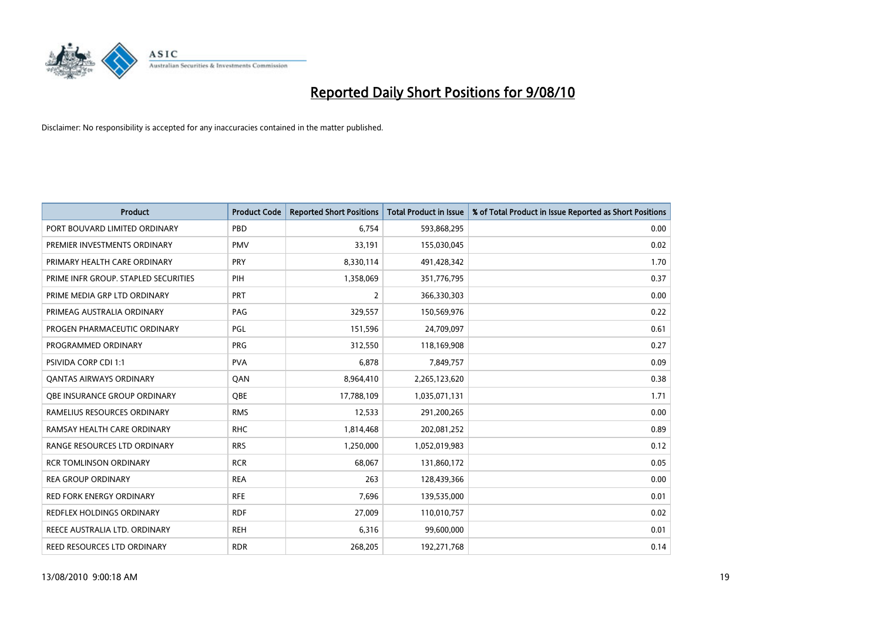

| <b>Product</b>                       | <b>Product Code</b> | <b>Reported Short Positions</b> | <b>Total Product in Issue</b> | % of Total Product in Issue Reported as Short Positions |
|--------------------------------------|---------------------|---------------------------------|-------------------------------|---------------------------------------------------------|
| PORT BOUVARD LIMITED ORDINARY        | PBD                 | 6.754                           | 593,868,295                   | 0.00                                                    |
| PREMIER INVESTMENTS ORDINARY         | <b>PMV</b>          | 33,191                          | 155,030,045                   | 0.02                                                    |
| PRIMARY HEALTH CARE ORDINARY         | PRY                 | 8,330,114                       | 491,428,342                   | 1.70                                                    |
| PRIME INFR GROUP. STAPLED SECURITIES | PIH                 | 1,358,069                       | 351,776,795                   | 0.37                                                    |
| PRIME MEDIA GRP LTD ORDINARY         | PRT                 | 2                               | 366,330,303                   | 0.00                                                    |
| PRIMEAG AUSTRALIA ORDINARY           | PAG                 | 329,557                         | 150,569,976                   | 0.22                                                    |
| PROGEN PHARMACEUTIC ORDINARY         | <b>PGL</b>          | 151,596                         | 24,709,097                    | 0.61                                                    |
| PROGRAMMED ORDINARY                  | <b>PRG</b>          | 312,550                         | 118,169,908                   | 0.27                                                    |
| <b>PSIVIDA CORP CDI 1:1</b>          | <b>PVA</b>          | 6.878                           | 7,849,757                     | 0.09                                                    |
| <b>QANTAS AIRWAYS ORDINARY</b>       | QAN                 | 8,964,410                       | 2,265,123,620                 | 0.38                                                    |
| <b>OBE INSURANCE GROUP ORDINARY</b>  | <b>OBE</b>          | 17,788,109                      | 1,035,071,131                 | 1.71                                                    |
| RAMELIUS RESOURCES ORDINARY          | <b>RMS</b>          | 12,533                          | 291,200,265                   | 0.00                                                    |
| RAMSAY HEALTH CARE ORDINARY          | <b>RHC</b>          | 1,814,468                       | 202,081,252                   | 0.89                                                    |
| RANGE RESOURCES LTD ORDINARY         | <b>RRS</b>          | 1,250,000                       | 1,052,019,983                 | 0.12                                                    |
| <b>RCR TOMLINSON ORDINARY</b>        | <b>RCR</b>          | 68.067                          | 131,860,172                   | 0.05                                                    |
| <b>REA GROUP ORDINARY</b>            | <b>REA</b>          | 263                             | 128,439,366                   | 0.00                                                    |
| RED FORK ENERGY ORDINARY             | <b>RFE</b>          | 7,696                           | 139,535,000                   | 0.01                                                    |
| <b>REDFLEX HOLDINGS ORDINARY</b>     | <b>RDF</b>          | 27,009                          | 110,010,757                   | 0.02                                                    |
| REECE AUSTRALIA LTD. ORDINARY        | <b>REH</b>          | 6,316                           | 99,600,000                    | 0.01                                                    |
| REED RESOURCES LTD ORDINARY          | <b>RDR</b>          | 268,205                         | 192,271,768                   | 0.14                                                    |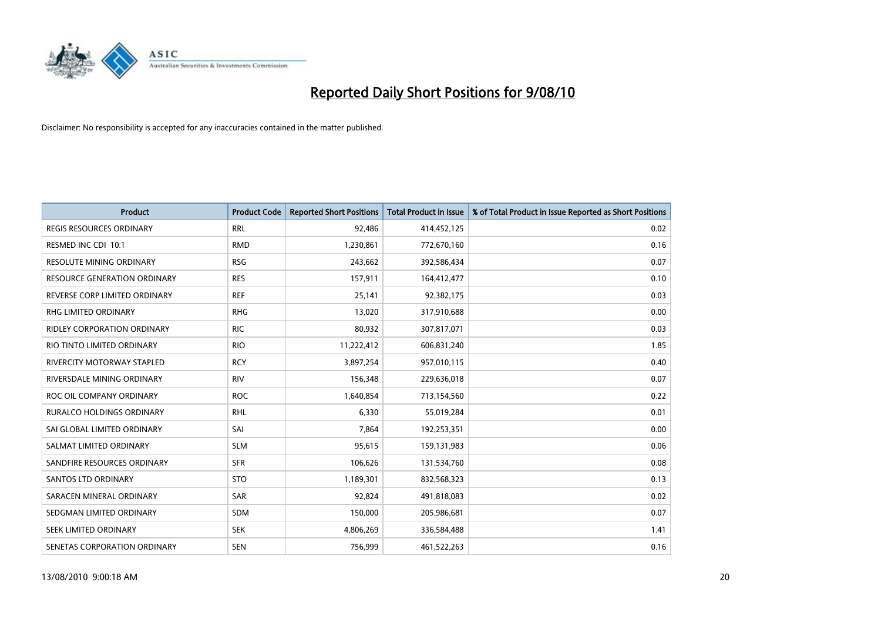

| <b>Product</b>                      | <b>Product Code</b> | <b>Reported Short Positions</b> | <b>Total Product in Issue</b> | % of Total Product in Issue Reported as Short Positions |
|-------------------------------------|---------------------|---------------------------------|-------------------------------|---------------------------------------------------------|
| <b>REGIS RESOURCES ORDINARY</b>     | <b>RRL</b>          | 92,486                          | 414,452,125                   | 0.02                                                    |
| RESMED INC CDI 10:1                 | <b>RMD</b>          | 1,230,861                       | 772,670,160                   | 0.16                                                    |
| <b>RESOLUTE MINING ORDINARY</b>     | <b>RSG</b>          | 243,662                         | 392,586,434                   | 0.07                                                    |
| <b>RESOURCE GENERATION ORDINARY</b> | <b>RES</b>          | 157,911                         | 164,412,477                   | 0.10                                                    |
| REVERSE CORP LIMITED ORDINARY       | <b>REF</b>          | 25,141                          | 92,382,175                    | 0.03                                                    |
| RHG LIMITED ORDINARY                | <b>RHG</b>          | 13,020                          | 317,910,688                   | 0.00                                                    |
| <b>RIDLEY CORPORATION ORDINARY</b>  | <b>RIC</b>          | 80,932                          | 307,817,071                   | 0.03                                                    |
| RIO TINTO LIMITED ORDINARY          | <b>RIO</b>          | 11,222,412                      | 606,831,240                   | 1.85                                                    |
| <b>RIVERCITY MOTORWAY STAPLED</b>   | <b>RCY</b>          | 3,897,254                       | 957,010,115                   | 0.40                                                    |
| RIVERSDALE MINING ORDINARY          | <b>RIV</b>          | 156,348                         | 229,636,018                   | 0.07                                                    |
| ROC OIL COMPANY ORDINARY            | <b>ROC</b>          | 1,640,854                       | 713,154,560                   | 0.22                                                    |
| <b>RURALCO HOLDINGS ORDINARY</b>    | <b>RHL</b>          | 6,330                           | 55,019,284                    | 0.01                                                    |
| SAI GLOBAL LIMITED ORDINARY         | SAI                 | 7,864                           | 192,253,351                   | 0.00                                                    |
| SALMAT LIMITED ORDINARY             | <b>SLM</b>          | 95,615                          | 159,131,983                   | 0.06                                                    |
| SANDFIRE RESOURCES ORDINARY         | <b>SFR</b>          | 106,626                         | 131,534,760                   | 0.08                                                    |
| <b>SANTOS LTD ORDINARY</b>          | <b>STO</b>          | 1,189,301                       | 832,568,323                   | 0.13                                                    |
| SARACEN MINERAL ORDINARY            | SAR                 | 92,824                          | 491,818,083                   | 0.02                                                    |
| SEDGMAN LIMITED ORDINARY            | <b>SDM</b>          | 150,000                         | 205,986,681                   | 0.07                                                    |
| SEEK LIMITED ORDINARY               | <b>SEK</b>          | 4,806,269                       | 336,584,488                   | 1.41                                                    |
| SENETAS CORPORATION ORDINARY        | <b>SEN</b>          | 756,999                         | 461,522,263                   | 0.16                                                    |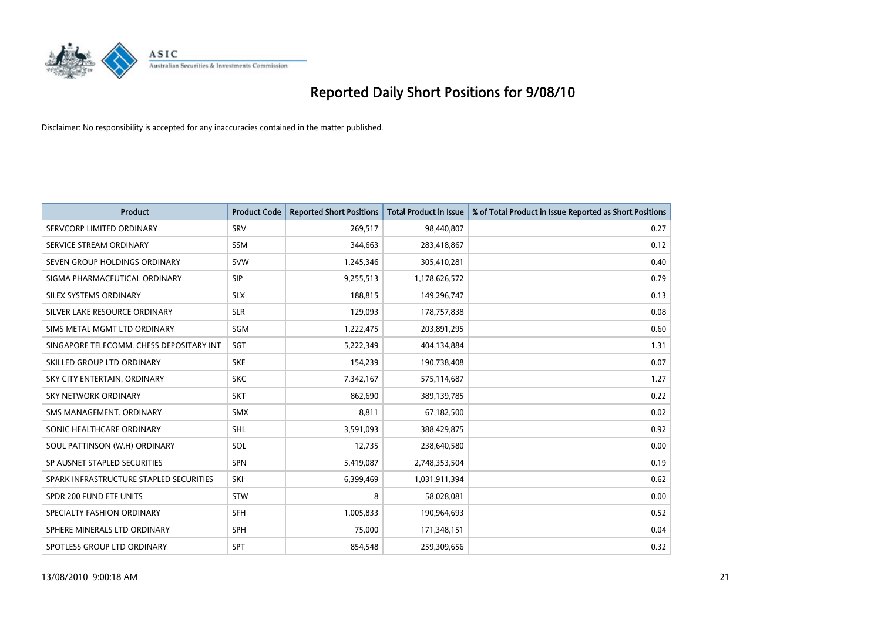

| <b>Product</b>                           | <b>Product Code</b> | <b>Reported Short Positions</b> | <b>Total Product in Issue</b> | % of Total Product in Issue Reported as Short Positions |
|------------------------------------------|---------------------|---------------------------------|-------------------------------|---------------------------------------------------------|
| SERVCORP LIMITED ORDINARY                | SRV                 | 269,517                         | 98,440,807                    | 0.27                                                    |
| SERVICE STREAM ORDINARY                  | <b>SSM</b>          | 344,663                         | 283,418,867                   | 0.12                                                    |
| SEVEN GROUP HOLDINGS ORDINARY            | <b>SVW</b>          | 1,245,346                       | 305,410,281                   | 0.40                                                    |
| SIGMA PHARMACEUTICAL ORDINARY            | <b>SIP</b>          | 9,255,513                       | 1,178,626,572                 | 0.79                                                    |
| SILEX SYSTEMS ORDINARY                   | <b>SLX</b>          | 188,815                         | 149,296,747                   | 0.13                                                    |
| SILVER LAKE RESOURCE ORDINARY            | <b>SLR</b>          | 129,093                         | 178,757,838                   | 0.08                                                    |
| SIMS METAL MGMT LTD ORDINARY             | SGM                 | 1,222,475                       | 203,891,295                   | 0.60                                                    |
| SINGAPORE TELECOMM. CHESS DEPOSITARY INT | SGT                 | 5,222,349                       | 404,134,884                   | 1.31                                                    |
| SKILLED GROUP LTD ORDINARY               | <b>SKE</b>          | 154,239                         | 190,738,408                   | 0.07                                                    |
| SKY CITY ENTERTAIN, ORDINARY             | <b>SKC</b>          | 7,342,167                       | 575,114,687                   | 1.27                                                    |
| <b>SKY NETWORK ORDINARY</b>              | <b>SKT</b>          | 862,690                         | 389,139,785                   | 0.22                                                    |
| SMS MANAGEMENT, ORDINARY                 | <b>SMX</b>          | 8,811                           | 67,182,500                    | 0.02                                                    |
| SONIC HEALTHCARE ORDINARY                | <b>SHL</b>          | 3,591,093                       | 388,429,875                   | 0.92                                                    |
| SOUL PATTINSON (W.H) ORDINARY            | SOL                 | 12,735                          | 238,640,580                   | 0.00                                                    |
| SP AUSNET STAPLED SECURITIES             | SPN                 | 5,419,087                       | 2,748,353,504                 | 0.19                                                    |
| SPARK INFRASTRUCTURE STAPLED SECURITIES  | SKI                 | 6,399,469                       | 1,031,911,394                 | 0.62                                                    |
| SPDR 200 FUND ETF UNITS                  | <b>STW</b>          | 8                               | 58,028,081                    | 0.00                                                    |
| SPECIALTY FASHION ORDINARY               | <b>SFH</b>          | 1,005,833                       | 190,964,693                   | 0.52                                                    |
| SPHERE MINERALS LTD ORDINARY             | <b>SPH</b>          | 75,000                          | 171,348,151                   | 0.04                                                    |
| SPOTLESS GROUP LTD ORDINARY              | <b>SPT</b>          | 854.548                         | 259,309,656                   | 0.32                                                    |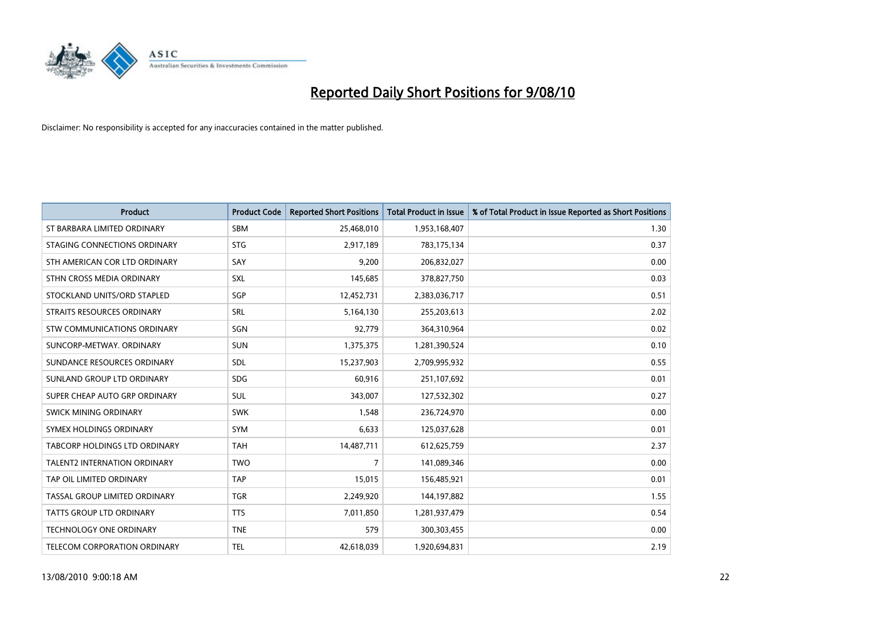

| <b>Product</b>                       | <b>Product Code</b> | <b>Reported Short Positions</b> | Total Product in Issue | % of Total Product in Issue Reported as Short Positions |
|--------------------------------------|---------------------|---------------------------------|------------------------|---------------------------------------------------------|
| ST BARBARA LIMITED ORDINARY          | SBM                 | 25,468,010                      | 1,953,168,407          | 1.30                                                    |
| STAGING CONNECTIONS ORDINARY         | <b>STG</b>          | 2,917,189                       | 783,175,134            | 0.37                                                    |
| STH AMERICAN COR LTD ORDINARY        | SAY                 | 9,200                           | 206,832,027            | 0.00                                                    |
| STHN CROSS MEDIA ORDINARY            | SXL                 | 145,685                         | 378,827,750            | 0.03                                                    |
| STOCKLAND UNITS/ORD STAPLED          | SGP                 | 12,452,731                      | 2,383,036,717          | 0.51                                                    |
| STRAITS RESOURCES ORDINARY           | SRL                 | 5,164,130                       | 255,203,613            | 2.02                                                    |
| <b>STW COMMUNICATIONS ORDINARY</b>   | SGN                 | 92,779                          | 364,310,964            | 0.02                                                    |
| SUNCORP-METWAY, ORDINARY             | SUN                 | 1,375,375                       | 1,281,390,524          | 0.10                                                    |
| SUNDANCE RESOURCES ORDINARY          | <b>SDL</b>          | 15,237,903                      | 2,709,995,932          | 0.55                                                    |
| SUNLAND GROUP LTD ORDINARY           | <b>SDG</b>          | 60,916                          | 251,107,692            | 0.01                                                    |
| SUPER CHEAP AUTO GRP ORDINARY        | <b>SUL</b>          | 343,007                         | 127,532,302            | 0.27                                                    |
| SWICK MINING ORDINARY                | <b>SWK</b>          | 1,548                           | 236,724,970            | 0.00                                                    |
| SYMEX HOLDINGS ORDINARY              | <b>SYM</b>          | 6.633                           | 125,037,628            | 0.01                                                    |
| <b>TABCORP HOLDINGS LTD ORDINARY</b> | <b>TAH</b>          | 14,487,711                      | 612,625,759            | 2.37                                                    |
| <b>TALENT2 INTERNATION ORDINARY</b>  | <b>TWO</b>          | $\overline{7}$                  | 141,089,346            | 0.00                                                    |
| TAP OIL LIMITED ORDINARY             | <b>TAP</b>          | 15,015                          | 156,485,921            | 0.01                                                    |
| TASSAL GROUP LIMITED ORDINARY        | <b>TGR</b>          | 2,249,920                       | 144,197,882            | 1.55                                                    |
| TATTS GROUP LTD ORDINARY             | <b>TTS</b>          | 7,011,850                       | 1,281,937,479          | 0.54                                                    |
| <b>TECHNOLOGY ONE ORDINARY</b>       | <b>TNE</b>          | 579                             | 300,303,455            | 0.00                                                    |
| <b>TELECOM CORPORATION ORDINARY</b>  | <b>TEL</b>          | 42,618,039                      | 1,920,694,831          | 2.19                                                    |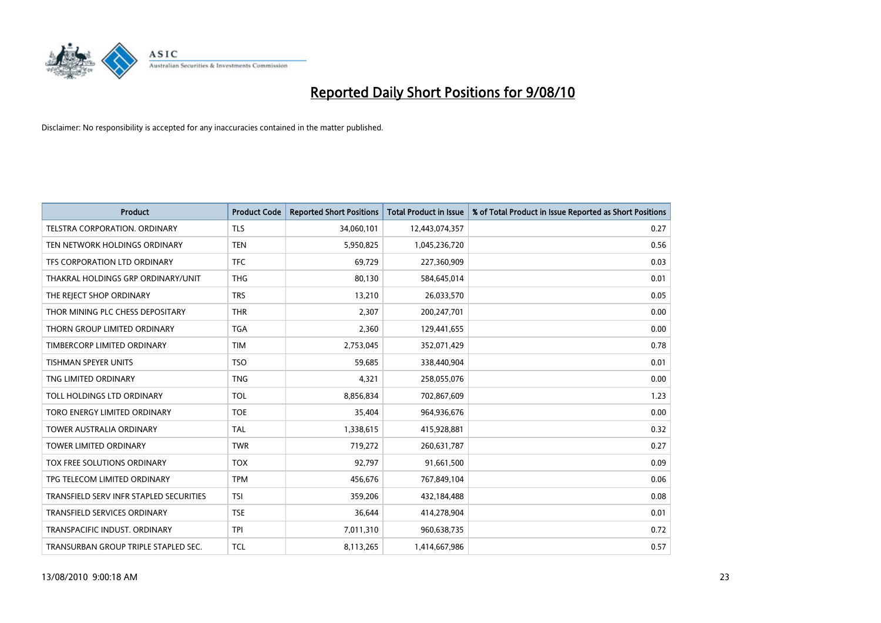

| <b>Product</b>                          | <b>Product Code</b> | <b>Reported Short Positions</b> | <b>Total Product in Issue</b> | % of Total Product in Issue Reported as Short Positions |
|-----------------------------------------|---------------------|---------------------------------|-------------------------------|---------------------------------------------------------|
| TELSTRA CORPORATION, ORDINARY           | <b>TLS</b>          | 34,060,101                      | 12,443,074,357                | 0.27                                                    |
| TEN NETWORK HOLDINGS ORDINARY           | <b>TEN</b>          | 5,950,825                       | 1,045,236,720                 | 0.56                                                    |
| TFS CORPORATION LTD ORDINARY            | <b>TFC</b>          | 69,729                          | 227,360,909                   | 0.03                                                    |
| THAKRAL HOLDINGS GRP ORDINARY/UNIT      | <b>THG</b>          | 80,130                          | 584,645,014                   | 0.01                                                    |
| THE REJECT SHOP ORDINARY                | <b>TRS</b>          | 13,210                          | 26,033,570                    | 0.05                                                    |
| THOR MINING PLC CHESS DEPOSITARY        | <b>THR</b>          | 2,307                           | 200,247,701                   | 0.00                                                    |
| THORN GROUP LIMITED ORDINARY            | <b>TGA</b>          | 2,360                           | 129,441,655                   | 0.00                                                    |
| TIMBERCORP LIMITED ORDINARY             | <b>TIM</b>          | 2,753,045                       | 352,071,429                   | 0.78                                                    |
| TISHMAN SPEYER UNITS                    | <b>TSO</b>          | 59,685                          | 338,440,904                   | 0.01                                                    |
| TNG LIMITED ORDINARY                    | <b>TNG</b>          | 4,321                           | 258,055,076                   | 0.00                                                    |
| TOLL HOLDINGS LTD ORDINARY              | <b>TOL</b>          | 8,856,834                       | 702,867,609                   | 1.23                                                    |
| TORO ENERGY LIMITED ORDINARY            | <b>TOE</b>          | 35,404                          | 964,936,676                   | 0.00                                                    |
| <b>TOWER AUSTRALIA ORDINARY</b>         | <b>TAL</b>          | 1,338,615                       | 415,928,881                   | 0.32                                                    |
| <b>TOWER LIMITED ORDINARY</b>           | <b>TWR</b>          | 719,272                         | 260,631,787                   | 0.27                                                    |
| TOX FREE SOLUTIONS ORDINARY             | <b>TOX</b>          | 92,797                          | 91,661,500                    | 0.09                                                    |
| TPG TELECOM LIMITED ORDINARY            | <b>TPM</b>          | 456,676                         | 767,849,104                   | 0.06                                                    |
| TRANSFIELD SERV INFR STAPLED SECURITIES | <b>TSI</b>          | 359,206                         | 432,184,488                   | 0.08                                                    |
| TRANSFIELD SERVICES ORDINARY            | <b>TSE</b>          | 36,644                          | 414,278,904                   | 0.01                                                    |
| TRANSPACIFIC INDUST, ORDINARY           | <b>TPI</b>          | 7,011,310                       | 960,638,735                   | 0.72                                                    |
| TRANSURBAN GROUP TRIPLE STAPLED SEC.    | <b>TCL</b>          | 8,113,265                       | 1,414,667,986                 | 0.57                                                    |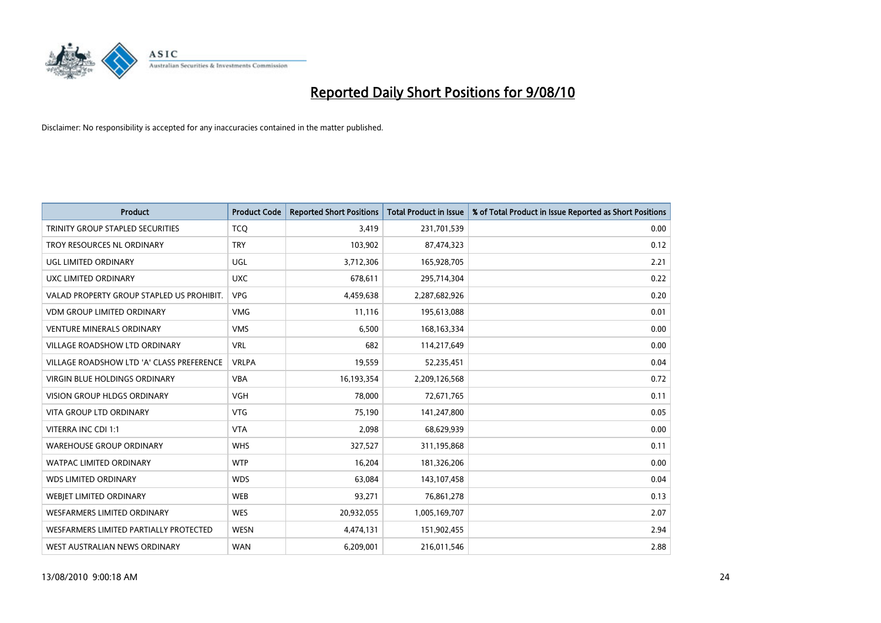

| <b>Product</b>                            | <b>Product Code</b> | <b>Reported Short Positions</b> | Total Product in Issue | % of Total Product in Issue Reported as Short Positions |
|-------------------------------------------|---------------------|---------------------------------|------------------------|---------------------------------------------------------|
| TRINITY GROUP STAPLED SECURITIES          | <b>TCQ</b>          | 3,419                           | 231,701,539            | 0.00                                                    |
| TROY RESOURCES NL ORDINARY                | <b>TRY</b>          | 103,902                         | 87,474,323             | 0.12                                                    |
| UGL LIMITED ORDINARY                      | UGL                 | 3,712,306                       | 165,928,705            | 2.21                                                    |
| UXC LIMITED ORDINARY                      | <b>UXC</b>          | 678,611                         | 295,714,304            | 0.22                                                    |
| VALAD PROPERTY GROUP STAPLED US PROHIBIT. | <b>VPG</b>          | 4,459,638                       | 2,287,682,926          | 0.20                                                    |
| <b>VDM GROUP LIMITED ORDINARY</b>         | <b>VMG</b>          | 11,116                          | 195,613,088            | 0.01                                                    |
| <b>VENTURE MINERALS ORDINARY</b>          | <b>VMS</b>          | 6,500                           | 168, 163, 334          | 0.00                                                    |
| VILLAGE ROADSHOW LTD ORDINARY             | <b>VRL</b>          | 682                             | 114,217,649            | 0.00                                                    |
| VILLAGE ROADSHOW LTD 'A' CLASS PREFERENCE | <b>VRLPA</b>        | 19,559                          | 52,235,451             | 0.04                                                    |
| <b>VIRGIN BLUE HOLDINGS ORDINARY</b>      | <b>VBA</b>          | 16,193,354                      | 2,209,126,568          | 0.72                                                    |
| VISION GROUP HLDGS ORDINARY               | <b>VGH</b>          | 78,000                          | 72,671,765             | 0.11                                                    |
| <b>VITA GROUP LTD ORDINARY</b>            | <b>VTG</b>          | 75,190                          | 141,247,800            | 0.05                                                    |
| VITERRA INC CDI 1:1                       | <b>VTA</b>          | 2,098                           | 68,629,939             | 0.00                                                    |
| <b>WAREHOUSE GROUP ORDINARY</b>           | <b>WHS</b>          | 327,527                         | 311,195,868            | 0.11                                                    |
| <b>WATPAC LIMITED ORDINARY</b>            | <b>WTP</b>          | 16,204                          | 181,326,206            | 0.00                                                    |
| <b>WDS LIMITED ORDINARY</b>               | <b>WDS</b>          | 63,084                          | 143,107,458            | 0.04                                                    |
| <b>WEBIET LIMITED ORDINARY</b>            | WEB                 | 93,271                          | 76,861,278             | 0.13                                                    |
| <b>WESFARMERS LIMITED ORDINARY</b>        | <b>WES</b>          | 20,932,055                      | 1,005,169,707          | 2.07                                                    |
| WESFARMERS LIMITED PARTIALLY PROTECTED    | WESN                | 4,474,131                       | 151,902,455            | 2.94                                                    |
| WEST AUSTRALIAN NEWS ORDINARY             | <b>WAN</b>          | 6,209,001                       | 216,011,546            | 2.88                                                    |